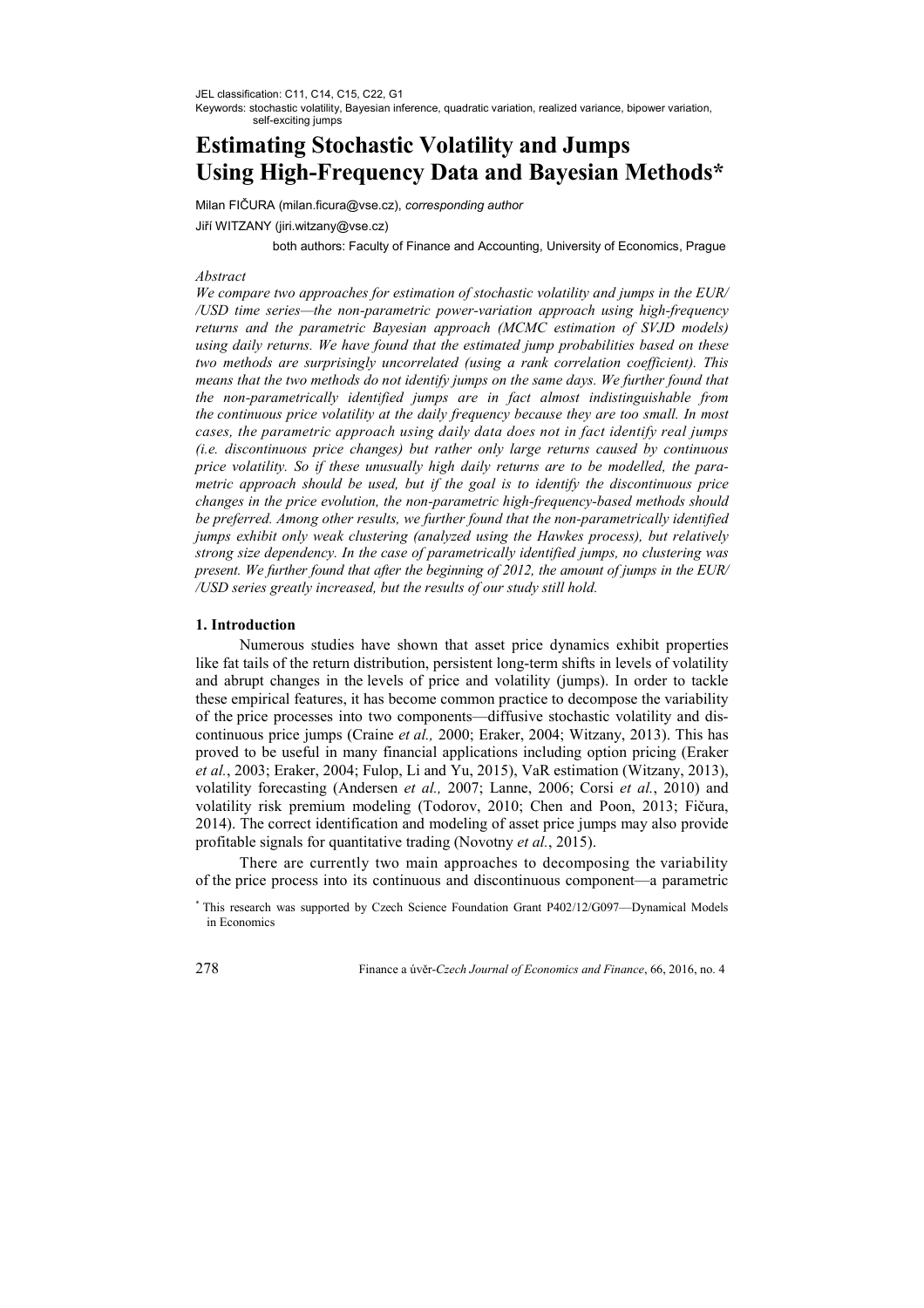JEL classification: C11, C14, C15, C22, G1

Keywords: stochastic volatility, Bayesian inference, quadratic variation, realized variance, bipower variation, self-exciting jumps

# **Estimating Stochastic Volatility and Jumps Using High-Frequency Data and Bayesian Methods\***

Milan FIČURA (milan.ficura@vse.cz), *corresponding author*

Jiří WITZANY (jiri.witzany@vse.cz)

both authors: Faculty of Finance and Accounting, University of Economics, Prague

## *Abstract*

*We compare two approaches for estimation of stochastic volatility and jumps in the EUR/ /USD time series—the non-parametric power-variation approach using high-frequency returns and the parametric Bayesian approach (MCMC estimation of SVJD models) using daily returns. We have found that the estimated jump probabilities based on these two methods are surprisingly uncorrelated (using a rank correlation coefficient). This means that the two methods do not identify jumps on the same days. We further found that the non-parametrically identified jumps are in fact almost indistinguishable from the continuous price volatility at the daily frequency because they are too small. In most cases, the parametric approach using daily data does not in fact identify real jumps (i.e. discontinuous price changes) but rather only large returns caused by continuous price volatility. So if these unusually high daily returns are to be modelled, the parametric approach should be used, but if the goal is to identify the discontinuous price changes in the price evolution, the non-parametric high-frequency-based methods should be preferred. Among other results, we further found that the non-parametrically identified jumps exhibit only weak clustering (analyzed using the Hawkes process), but relatively strong size dependency. In the case of parametrically identified jumps, no clustering was present. We further found that after the beginning of 2012, the amount of jumps in the EUR/ /USD series greatly increased, but the results of our study still hold.* 

# **1. Introduction**

Numerous studies have shown that asset price dynamics exhibit properties like fat tails of the return distribution, persistent long-term shifts in levels of volatility and abrupt changes in the levels of price and volatility (jumps). In order to tackle these empirical features, it has become common practice to decompose the variability of the price processes into two components—diffusive stochastic volatility and discontinuous price jumps (Craine *et al.,* 2000; Eraker, 2004; Witzany, 2013). This has proved to be useful in many financial applications including option pricing (Eraker *et al.*, 2003; Eraker, 2004; Fulop, Li and Yu, 2015), VaR estimation (Witzany, 2013), volatility forecasting (Andersen *et al.,* 2007; Lanne, 2006; Corsi *et al.*, 2010) and volatility risk premium modeling (Todorov, 2010; Chen and Poon, 2013; Fičura, 2014). The correct identification and modeling of asset price jumps may also provide profitable signals for quantitative trading (Novotny *et al.*, 2015).

There are currently two main approaches to decomposing the variability of the price process into its continuous and discontinuous component—a parametric

<sup>\*</sup> This research was supported by Czech Science Foundation Grant P402/12/G097—Dynamical Models in Economics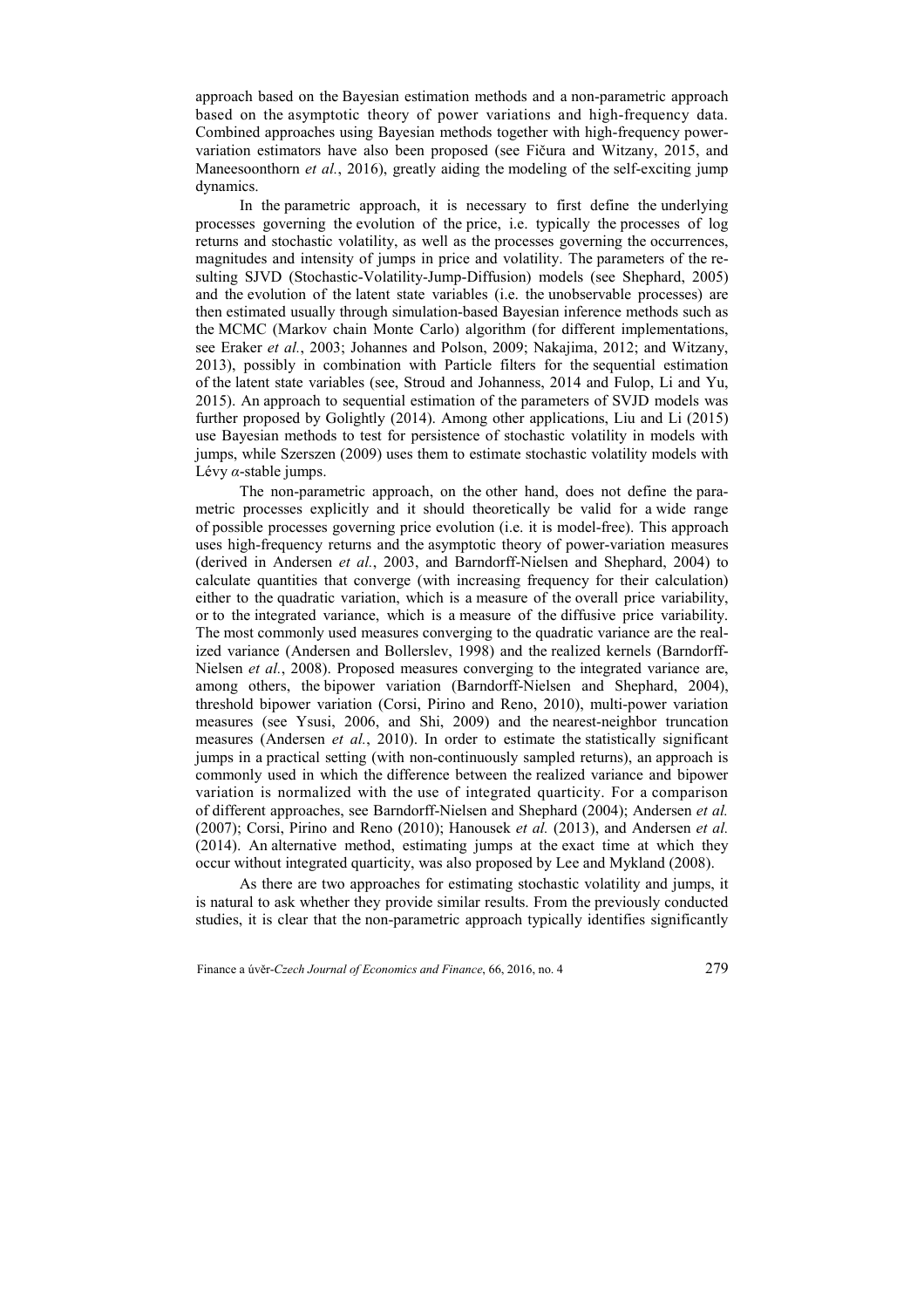approach based on the Bayesian estimation methods and a non-parametric approach based on the asymptotic theory of power variations and high-frequency data. Combined approaches using Bayesian methods together with high-frequency powervariation estimators have also been proposed (see Fičura and Witzany, 2015, and Maneesoonthorn *et al.*, 2016), greatly aiding the modeling of the self-exciting jump dynamics.

In the parametric approach, it is necessary to first define the underlying processes governing the evolution of the price, i.e. typically the processes of log returns and stochastic volatility, as well as the processes governing the occurrences, magnitudes and intensity of jumps in price and volatility. The parameters of the resulting SJVD (Stochastic-Volatility-Jump-Diffusion) models (see Shephard, 2005) and the evolution of the latent state variables (i.e. the unobservable processes) are then estimated usually through simulation-based Bayesian inference methods such as the MCMC (Markov chain Monte Carlo) algorithm (for different implementations, see Eraker *et al.*, 2003; Johannes and Polson, 2009; Nakajima, 2012; and Witzany, 2013), possibly in combination with Particle filters for the sequential estimation of the latent state variables (see, Stroud and Johanness, 2014 and Fulop, Li and Yu, 2015). An approach to sequential estimation of the parameters of SVJD models was further proposed by Golightly (2014). Among other applications, Liu and Li (2015) use Bayesian methods to test for persistence of stochastic volatility in models with jumps, while Szerszen (2009) uses them to estimate stochastic volatility models with Lévy *α*-stable jumps.

The non-parametric approach, on the other hand, does not define the parametric processes explicitly and it should theoretically be valid for a wide range of possible processes governing price evolution (i.e. it is model-free). This approach uses high-frequency returns and the asymptotic theory of power-variation measures (derived in Andersen *et al.*, 2003, and Barndorff-Nielsen and Shephard, 2004) to calculate quantities that converge (with increasing frequency for their calculation) either to the quadratic variation, which is a measure of the overall price variability, or to the integrated variance, which is a measure of the diffusive price variability. The most commonly used measures converging to the quadratic variance are the realized variance (Andersen and Bollerslev, 1998) and the realized kernels (Barndorff-Nielsen *et al.*, 2008). Proposed measures converging to the integrated variance are, among others, the bipower variation (Barndorff-Nielsen and Shephard, 2004), threshold bipower variation (Corsi, Pirino and Reno, 2010), multi-power variation measures (see Ysusi, 2006, and Shi, 2009) and the nearest-neighbor truncation measures (Andersen *et al.*, 2010). In order to estimate the statistically significant jumps in a practical setting (with non-continuously sampled returns), an approach is commonly used in which the difference between the realized variance and bipower variation is normalized with the use of integrated quarticity. For a comparison of different approaches, see Barndorff-Nielsen and Shephard (2004); Andersen *et al.* (2007); Corsi, Pirino and Reno (2010); Hanousek *et al.* (2013), and Andersen *et al.* (2014). An alternative method, estimating jumps at the exact time at which they occur without integrated quarticity, was also proposed by Lee and Mykland (2008).

As there are two approaches for estimating stochastic volatility and jumps, it is natural to ask whether they provide similar results. From the previously conducted studies, it is clear that the non-parametric approach typically identifies significantly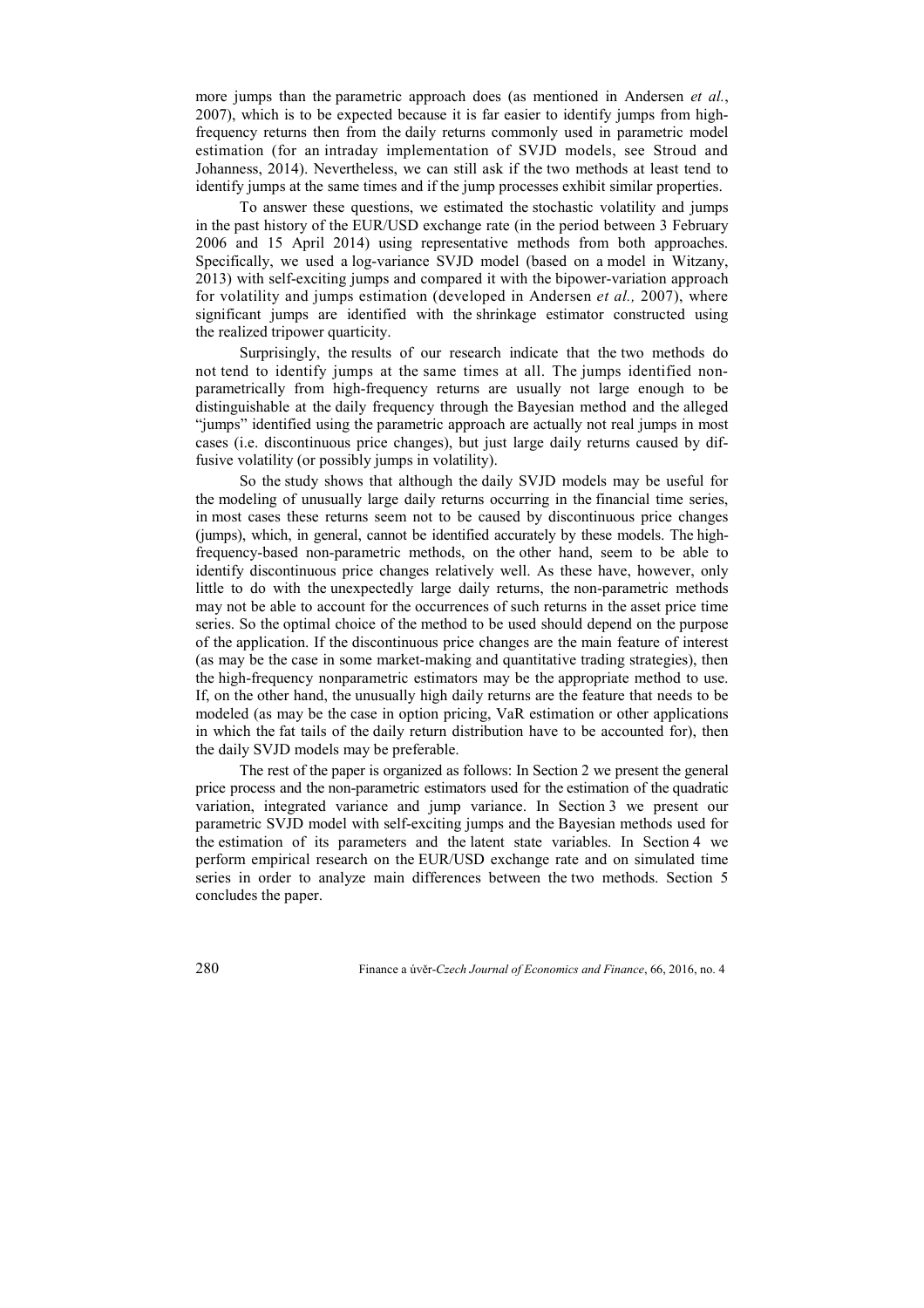more jumps than the parametric approach does (as mentioned in Andersen *et al.*, 2007), which is to be expected because it is far easier to identify jumps from highfrequency returns then from the daily returns commonly used in parametric model estimation (for an intraday implementation of SVJD models, see Stroud and Johanness, 2014). Nevertheless, we can still ask if the two methods at least tend to identify jumps at the same times and if the jump processes exhibit similar properties.

To answer these questions, we estimated the stochastic volatility and jumps in the past history of the EUR/USD exchange rate (in the period between 3 February 2006 and 15 April 2014) using representative methods from both approaches. Specifically, we used a log-variance SVJD model (based on a model in Witzany, 2013) with self-exciting jumps and compared it with the bipower-variation approach for volatility and jumps estimation (developed in Andersen *et al.,* 2007), where significant jumps are identified with the shrinkage estimator constructed using the realized tripower quarticity.

Surprisingly, the results of our research indicate that the two methods do not tend to identify jumps at the same times at all. The jumps identified nonparametrically from high-frequency returns are usually not large enough to be distinguishable at the daily frequency through the Bayesian method and the alleged "jumps" identified using the parametric approach are actually not real jumps in most cases (i.e. discontinuous price changes), but just large daily returns caused by diffusive volatility (or possibly jumps in volatility).

So the study shows that although the daily SVJD models may be useful for the modeling of unusually large daily returns occurring in the financial time series, in most cases these returns seem not to be caused by discontinuous price changes (jumps), which, in general, cannot be identified accurately by these models. The highfrequency-based non-parametric methods, on the other hand, seem to be able to identify discontinuous price changes relatively well. As these have, however, only little to do with the unexpectedly large daily returns, the non-parametric methods may not be able to account for the occurrences of such returns in the asset price time series. So the optimal choice of the method to be used should depend on the purpose of the application. If the discontinuous price changes are the main feature of interest (as may be the case in some market-making and quantitative trading strategies), then the high-frequency nonparametric estimators may be the appropriate method to use. If, on the other hand, the unusually high daily returns are the feature that needs to be modeled (as may be the case in option pricing, VaR estimation or other applications in which the fat tails of the daily return distribution have to be accounted for), then the daily SVJD models may be preferable.

The rest of the paper is organized as follows: In Section 2 we present the general price process and the non-parametric estimators used for the estimation of the quadratic variation, integrated variance and jump variance. In Section 3 we present our parametric SVJD model with self-exciting jumps and the Bayesian methods used for the estimation of its parameters and the latent state variables. In Section 4 we perform empirical research on the EUR/USD exchange rate and on simulated time series in order to analyze main differences between the two methods. Section 5 concludes the paper.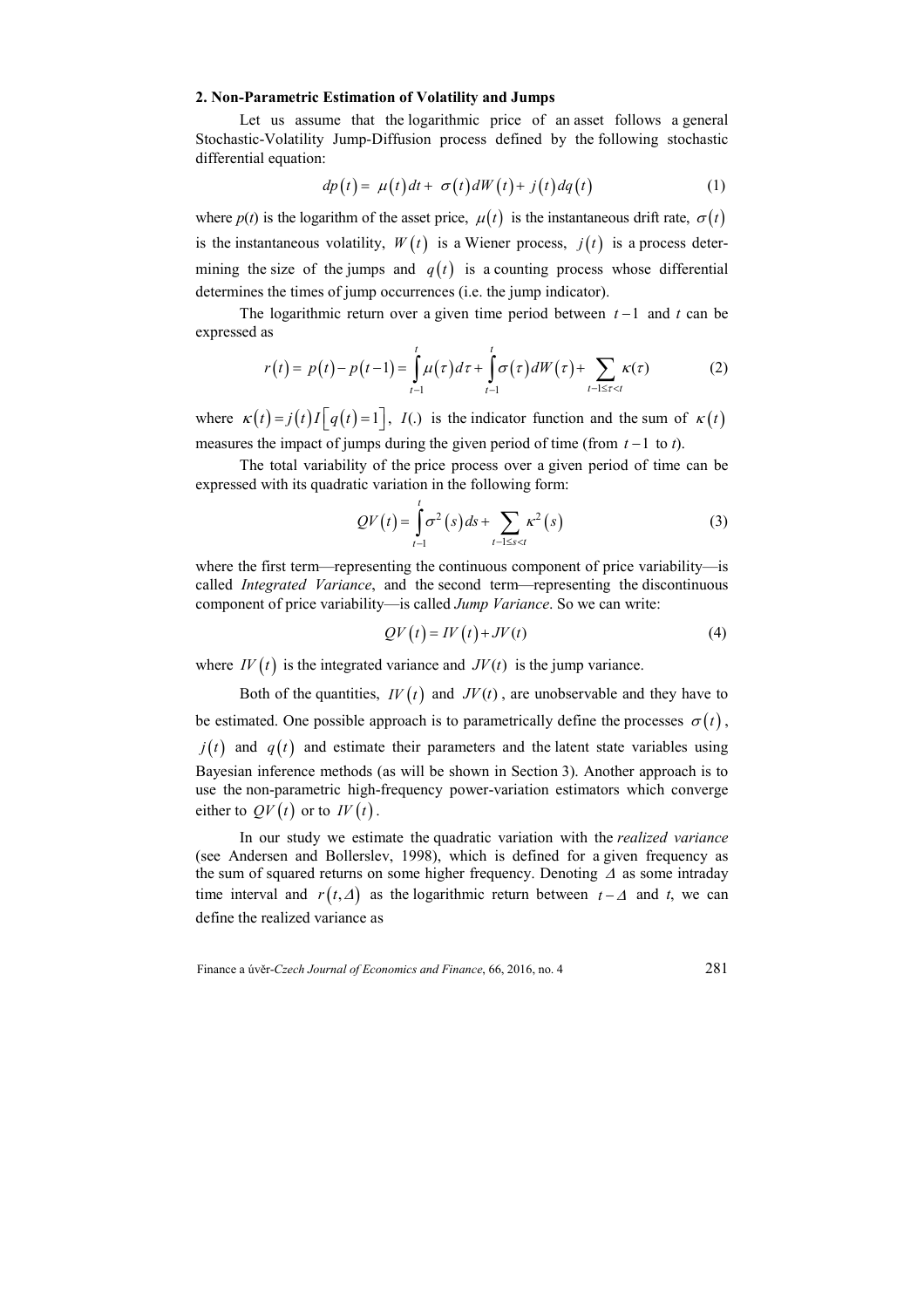## **2. Non-Parametric Estimation of Volatility and Jumps**

Let us assume that the logarithmic price of an asset follows a general Stochastic-Volatility Jump-Diffusion process defined by the following stochastic differential equation:

$$
dp(t) = \mu(t)dt + \sigma(t)dW(t) + j(t)dq(t)
$$
\n(1)

where  $p(t)$  is the logarithm of the asset price,  $\mu(t)$  is the instantaneous drift rate,  $\sigma(t)$ is the instantaneous volatility,  $W(t)$  is a Wiener process,  $j(t)$  is a process determining the size of the jumps and  $q(t)$  is a counting process whose differential determines the times of jump occurrences (i.e. the jump indicator).

The logarithmic return over a given time period between *t* −1 and *t* can be expressed as

$$
r(t) = p(t) - p(t-1) = \int_{t-1}^{t} \mu(\tau) d\tau + \int_{t-1}^{t} \sigma(\tau) dW(\tau) + \sum_{t-1 \leq \tau < t} \kappa(\tau) \tag{2}
$$

where  $\kappa(t) = j(t)I\left[q(t) = 1\right]$ ,  $I(.)$  is the indicator function and the sum of  $\kappa(t)$ measures the impact of jumps during the given period of time (from *t* −1 to *t*).

The total variability of the price process over a given period of time can be expressed with its quadratic variation in the following form:

$$
QV(t) = \int_{t-1}^{t} \sigma^2(s) \, ds + \sum_{t-1 \le s < t} \kappa^2(s) \tag{3}
$$

where the first term—representing the continuous component of price variability—is called *Integrated Variance*, and the second term—representing the discontinuous component of price variability—is called *Jump Variance*. So we can write:

$$
QV(t) = IV(t) + JV(t)
$$
 (4)

where  $IV(t)$  is the integrated variance and  $JV(t)$  is the jump variance.

Both of the quantities,  $IV(t)$  and  $JV(t)$ , are unobservable and they have to be estimated. One possible approach is to parametrically define the processes  $\sigma(t)$ ,  $j(t)$  and  $q(t)$  and estimate their parameters and the latent state variables using Bayesian inference methods (as will be shown in Section 3). Another approach is to use the non-parametric high-frequency power-variation estimators which converge either to  $QV(t)$  or to  $IV(t)$ .

In our study we estimate the quadratic variation with the *realized variance* (see Andersen and Bollerslev, 1998), which is defined for a given frequency as the sum of squared returns on some higher frequency. Denoting ∆ as some intraday time interval and  $r(t, \Delta)$  as the logarithmic return between  $t - \Delta$  and  $t$ , we can define the realized variance as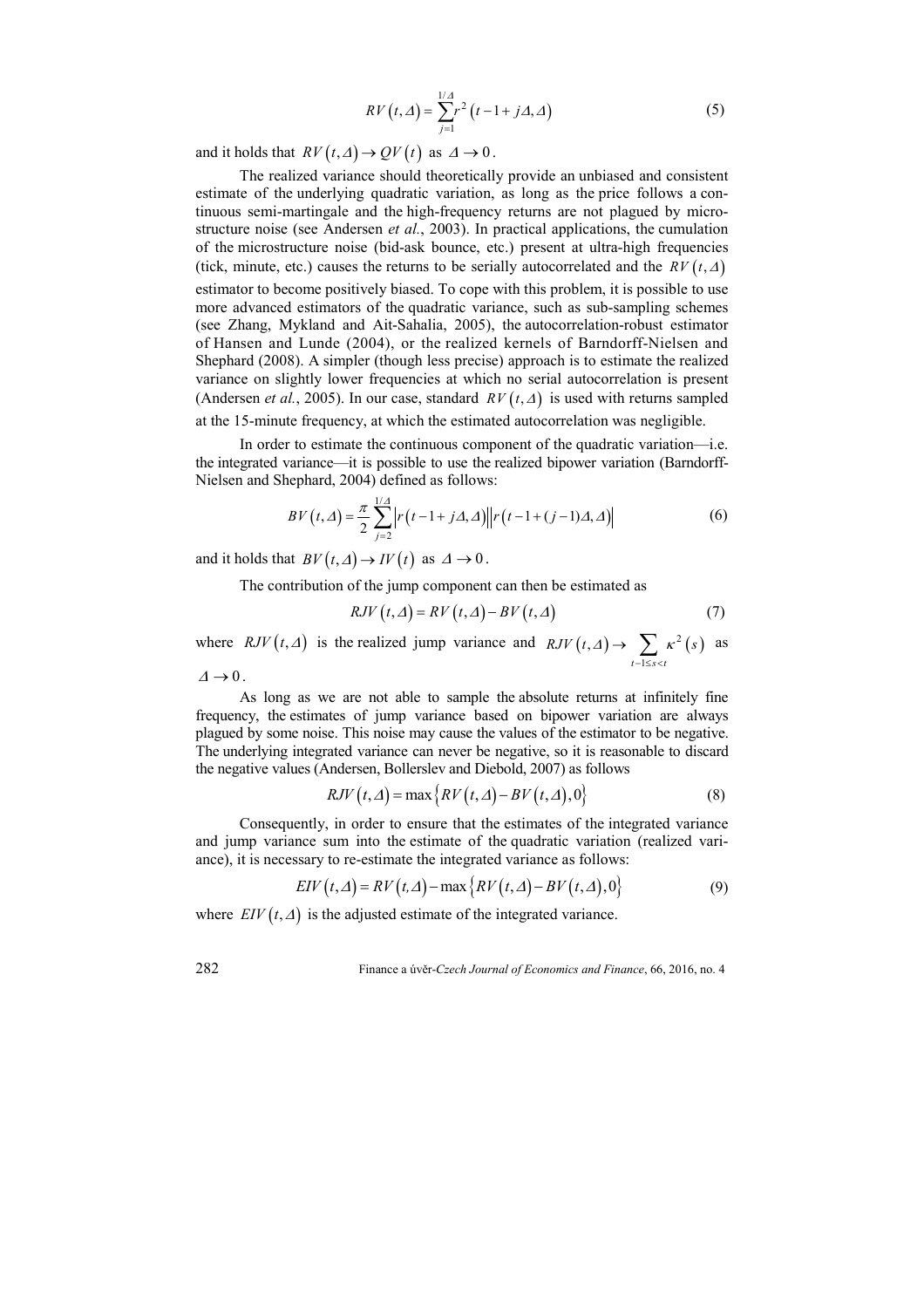$$
RV(t,\Delta) = \sum_{j=1}^{1/\Delta} r^2 (t-1+j\Delta,\Delta)
$$
 (5)

and it holds that  $RV(t, \Delta) \rightarrow QV(t)$  as  $\Delta \rightarrow 0$ .

The realized variance should theoretically provide an unbiased and consistent estimate of the underlying quadratic variation, as long as the price follows a continuous semi-martingale and the high-frequency returns are not plagued by microstructure noise (see Andersen *et al.*, 2003). In practical applications, the cumulation of the microstructure noise (bid-ask bounce, etc.) present at ultra-high frequencies (tick, minute, etc.) causes the returns to be serially autocorrelated and the  $RV(t, \Delta)$ estimator to become positively biased. To cope with this problem, it is possible to use more advanced estimators of the quadratic variance, such as sub-sampling schemes (see Zhang, Mykland and Ait-Sahalia, 2005), the autocorrelation-robust estimator of Hansen and Lunde (2004), or the realized kernels of Barndorff-Nielsen and Shephard (2008). A simpler (though less precise) approach is to estimate the realized variance on slightly lower frequencies at which no serial autocorrelation is present (Andersen *et al.*, 2005). In our case, standard  $RV(t, \Delta)$  is used with returns sampled at the 15-minute frequency, at which the estimated autocorrelation was negligible.

In order to estimate the continuous component of the quadratic variation—i.e. the integrated variance—it is possible to use the realized bipower variation (Barndorff-Nielsen and Shephard, 2004) defined as follows:

$$
BV(t,\Delta) = \frac{\pi}{2} \sum_{j=2}^{1/\Delta} \left| r(t-1+j\Delta,\Delta) \right| \left| r(t-1+(j-1)\Delta,\Delta) \right| \tag{6}
$$

and it holds that  $BV(t,\Delta) \to IV(t)$  as  $\Delta \to 0$ .

The contribution of the jump component can then be estimated as

$$
RJV(t,\Delta) = RV(t,\Delta) - BV(t,\Delta)
$$
\n(7)

where *RJV*  $(t, \Delta)$  is the realized jump variance and  $RJV(t, \Delta) \rightarrow \sum_{k=1}^{\infty} \kappa^2(s)$ 1 ,  $t - 1 \leq s < t$  $RJV(t,\Delta) \to \sum \kappa^2(s)$  $\rightarrow$   $\sum_{t-1 \leq s < t} \kappa^2(s)$  as  $\varDelta \rightarrow 0$ .

As long as we are not able to sample the absolute returns at infinitely fine frequency, the estimates of jump variance based on bipower variation are always plagued by some noise. This noise may cause the values of the estimator to be negative. The underlying integrated variance can never be negative, so it is reasonable to discard the negative values (Andersen, Bollerslev and Diebold, 2007) as follows

$$
RJV(t,\Delta) = \max\{RV(t,\Delta) - BV(t,\Delta),0\}
$$
 (8)

Consequently, in order to ensure that the estimates of the integrated variance and jump variance sum into the estimate of the quadratic variation (realized variance), it is necessary to re-estimate the integrated variance as follows:

$$
EIV(t,\Delta) = RV(t,\Delta) - \max\{RV(t,\Delta) - BV(t,\Delta),0\}
$$
\n(9)

where  $EIV(t,\Delta)$  is the adjusted estimate of the integrated variance.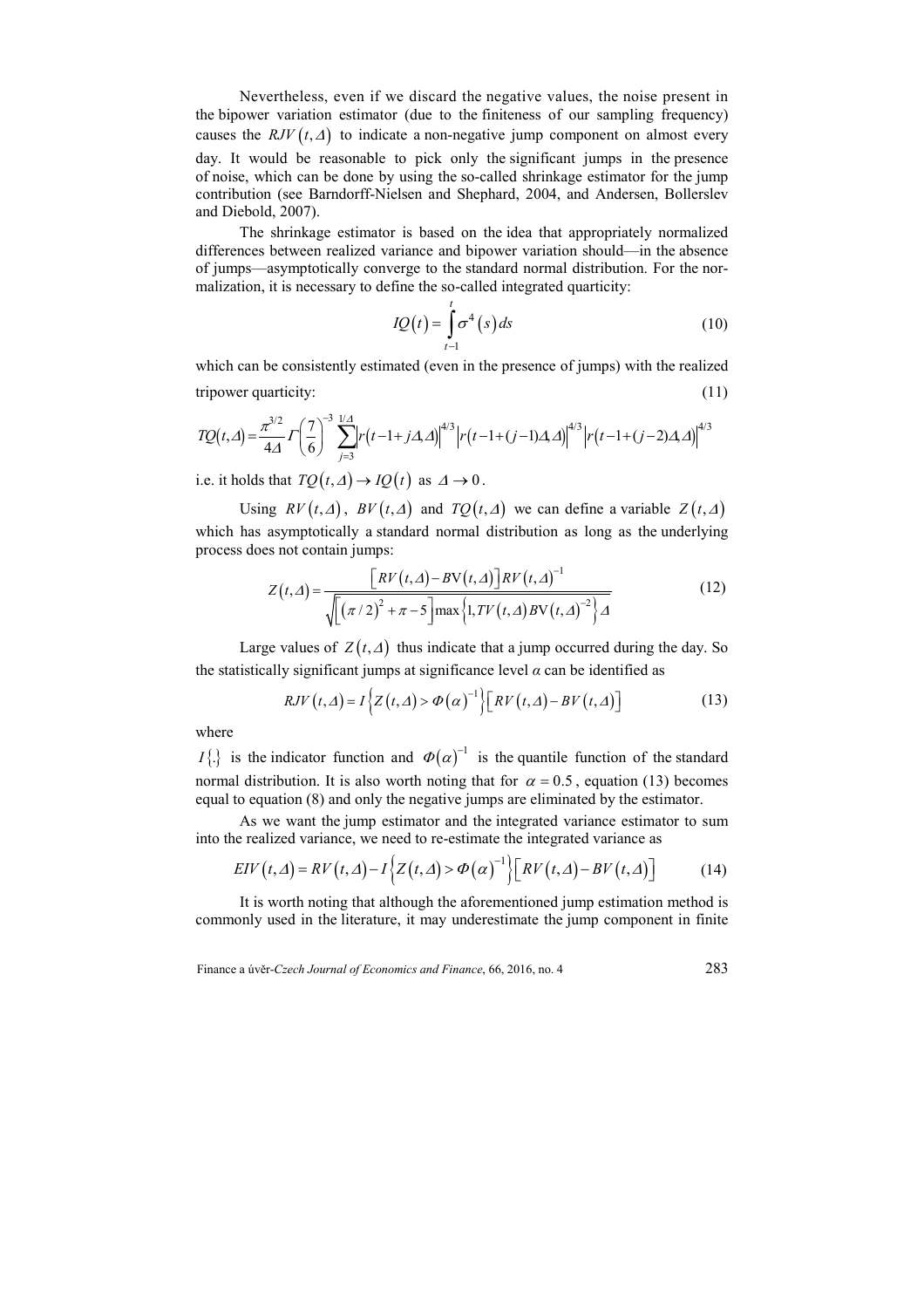Nevertheless, even if we discard the negative values, the noise present in the bipower variation estimator (due to the finiteness of our sampling frequency) causes the  $RJV(t, \Delta)$  to indicate a non-negative jump component on almost every day. It would be reasonable to pick only the significant jumps in the presence of noise, which can be done by using the so-called shrinkage estimator for the jump contribution (see Barndorff-Nielsen and Shephard, 2004, and Andersen, Bollerslev and Diebold, 2007).

The shrinkage estimator is based on the idea that appropriately normalized differences between realized variance and bipower variation should—in the absence of jumps—asymptotically converge to the standard normal distribution. For the normalization, it is necessary to define the so-called integrated quarticity:

$$
IQ(t) = \int_{t-1}^{t} \sigma^4(s) ds
$$
\n(10)

which can be consistently estimated (even in the presence of jumps) with the realized tripower quarticity: (11)

$$
TQ(t,\Delta) = \frac{\pi^{3/2}}{4\Delta} \Gamma\left(\frac{7}{6}\right)^{-3} \sum_{j=3}^{1/\Delta} \left[r\left(t-1+j\Delta,\Delta\right)\right]^{4/3} \left[r\left(t-1+(j-1)\Delta,\Delta\right)\right]^{4/3} \left[r\left(t-1+(j-2)\Delta,\Delta\right)\right]^{4/3}
$$

i.e. it holds that  $TQ(t, \Delta) \rightarrow IQ(t)$  as  $\Delta \rightarrow 0$ .

Using  $RV(t, \Delta)$ ,  $BV(t, \Delta)$  and  $TQ(t, \Delta)$  we can define a variable  $Z(t, \Delta)$ which has asymptotically a standard normal distribution as long as the underlying process does not contain jumps:

$$
Z(t,\Delta) = \frac{\left[RV(t,\Delta) - BV(t,\Delta)\right]RV(t,\Delta)^{-1}}{\sqrt{\left[\left(\pi/2\right)^2 + \pi - 5\right] \max\left\{1, TV(t,\Delta)BV(t,\Delta)\right\}^2/\Delta}}
$$
(12)

Large values of  $Z(t, \Delta)$  thus indicate that a jump occurred during the day. So the statistically significant jumps at significance level  $\alpha$  can be identified as

$$
RJV(t,\Delta) = I\left\{Z(t,\Delta) > \Phi(\alpha)^{-1}\right\} \left[RV(t,\Delta) - BV(t,\Delta)\right]
$$
 (13)

where

*I*{ $\{.\}$  is the indicator function and  $\Phi(\alpha)^{-1}$  is the quantile function of the standard normal distribution. It is also worth noting that for  $\alpha = 0.5$ , equation (13) becomes equal to equation (8) and only the negative jumps are eliminated by the estimator.

As we want the jump estimator and the integrated variance estimator to sum into the realized variance, we need to re-estimate the integrated variance as

$$
EIV(t,\Delta) = RV(t,\Delta) - I\left\{Z(t,\Delta) > \Phi(\alpha)^{-1}\right\} \left[RV(t,\Delta) - BV(t,\Delta)\right] \tag{14}
$$

It is worth noting that although the aforementioned jump estimation method is commonly used in the literature, it may underestimate the jump component in finite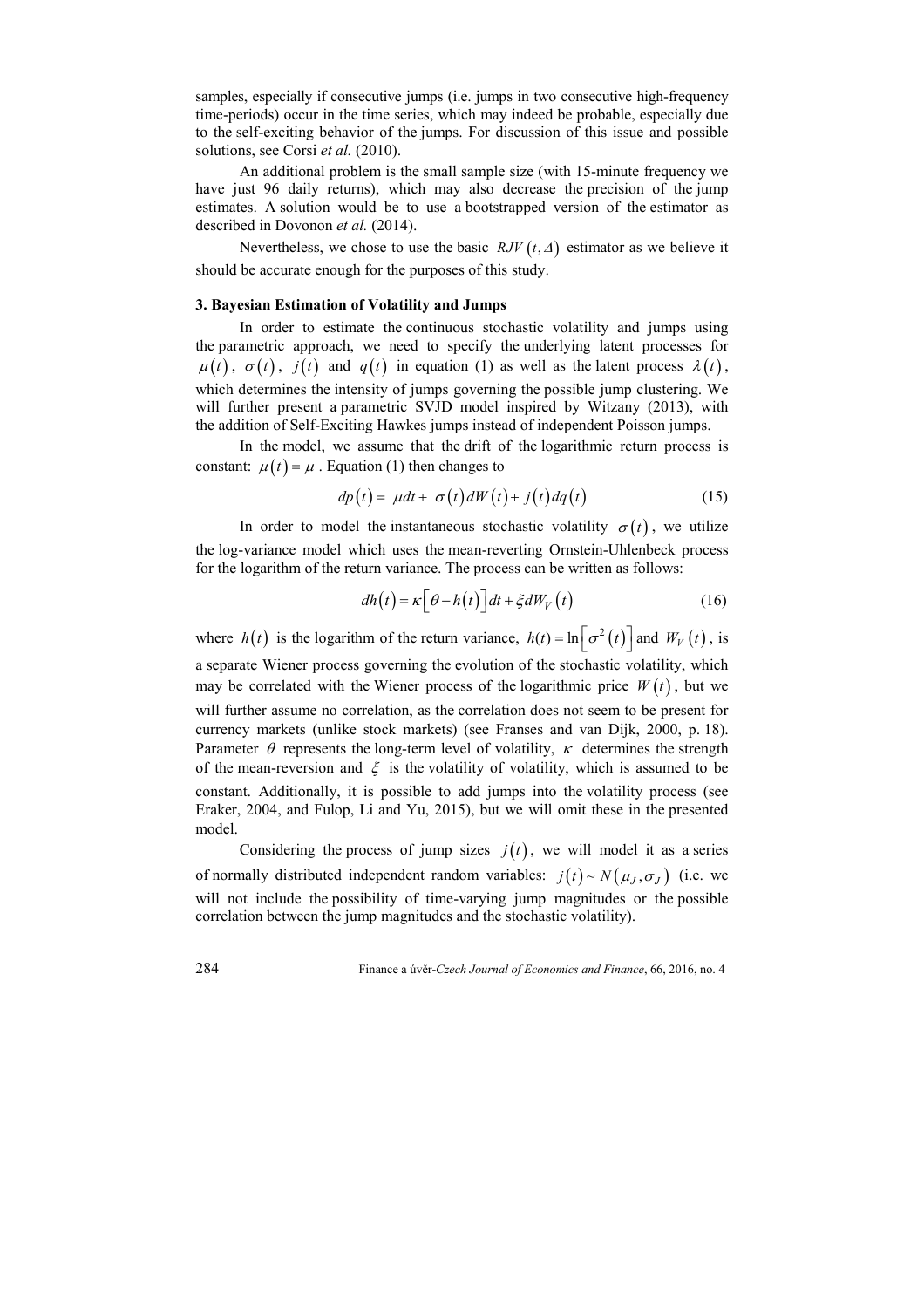samples, especially if consecutive jumps (i.e. jumps in two consecutive high-frequency time-periods) occur in the time series, which may indeed be probable, especially due to the self-exciting behavior of the jumps. For discussion of this issue and possible solutions, see Corsi *et al.* (2010).

An additional problem is the small sample size (with 15-minute frequency we have just 96 daily returns), which may also decrease the precision of the jump estimates. A solution would be to use a bootstrapped version of the estimator as described in Dovonon *et al.* (2014).

Nevertheless, we chose to use the basic  $RJV(t,\Delta)$  estimator as we believe it should be accurate enough for the purposes of this study.

# **3. Bayesian Estimation of Volatility and Jumps**

In order to estimate the continuous stochastic volatility and jumps using the parametric approach, we need to specify the underlying latent processes for  $\mu(t)$ ,  $\sigma(t)$ ,  $j(t)$  and  $q(t)$  in equation (1) as well as the latent process  $\lambda(t)$ , which determines the intensity of jumps governing the possible jump clustering. We will further present a parametric SVJD model inspired by Witzany (2013), with the addition of Self-Exciting Hawkes jumps instead of independent Poisson jumps.

In the model, we assume that the drift of the logarithmic return process is constant:  $\mu(t) = \mu$ . Equation (1) then changes to

$$
dp(t) = \mu dt + \sigma(t) dW(t) + j(t) dq(t)
$$
\n(15)

In order to model the instantaneous stochastic volatility  $\sigma(t)$ , we utilize the log-variance model which uses the mean-reverting Ornstein-Uhlenbeck process for the logarithm of the return variance. The process can be written as follows:

$$
dh(t) = \kappa \Big[ \theta - h(t) \Big] dt + \xi dW_V(t)
$$
 (16)

where  $h(t)$  is the logarithm of the return variance,  $h(t) = \ln \left[ \sigma^2(t) \right]$  and  $W_V(t)$ , is a separate Wiener process governing the evolution of the stochastic volatility, which may be correlated with the Wiener process of the logarithmic price  $W(t)$ , but we will further assume no correlation, as the correlation does not seem to be present for currency markets (unlike stock markets) (see Franses and van Dijk, 2000, p. 18). Parameter  $\theta$  represents the long-term level of volatility,  $\kappa$  determines the strength of the mean-reversion and  $\xi$  is the volatility of volatility, which is assumed to be constant. Additionally, it is possible to add jumps into the volatility process (see Eraker, 2004, and Fulop, Li and Yu, 2015), but we will omit these in the presented model.

Considering the process of jump sizes  $j(t)$ , we will model it as a series of normally distributed independent random variables:  $j(t) \sim N(\mu_J, \sigma_J)$  (i.e. we will not include the possibility of time-varying jump magnitudes or the possible correlation between the jump magnitudes and the stochastic volatility).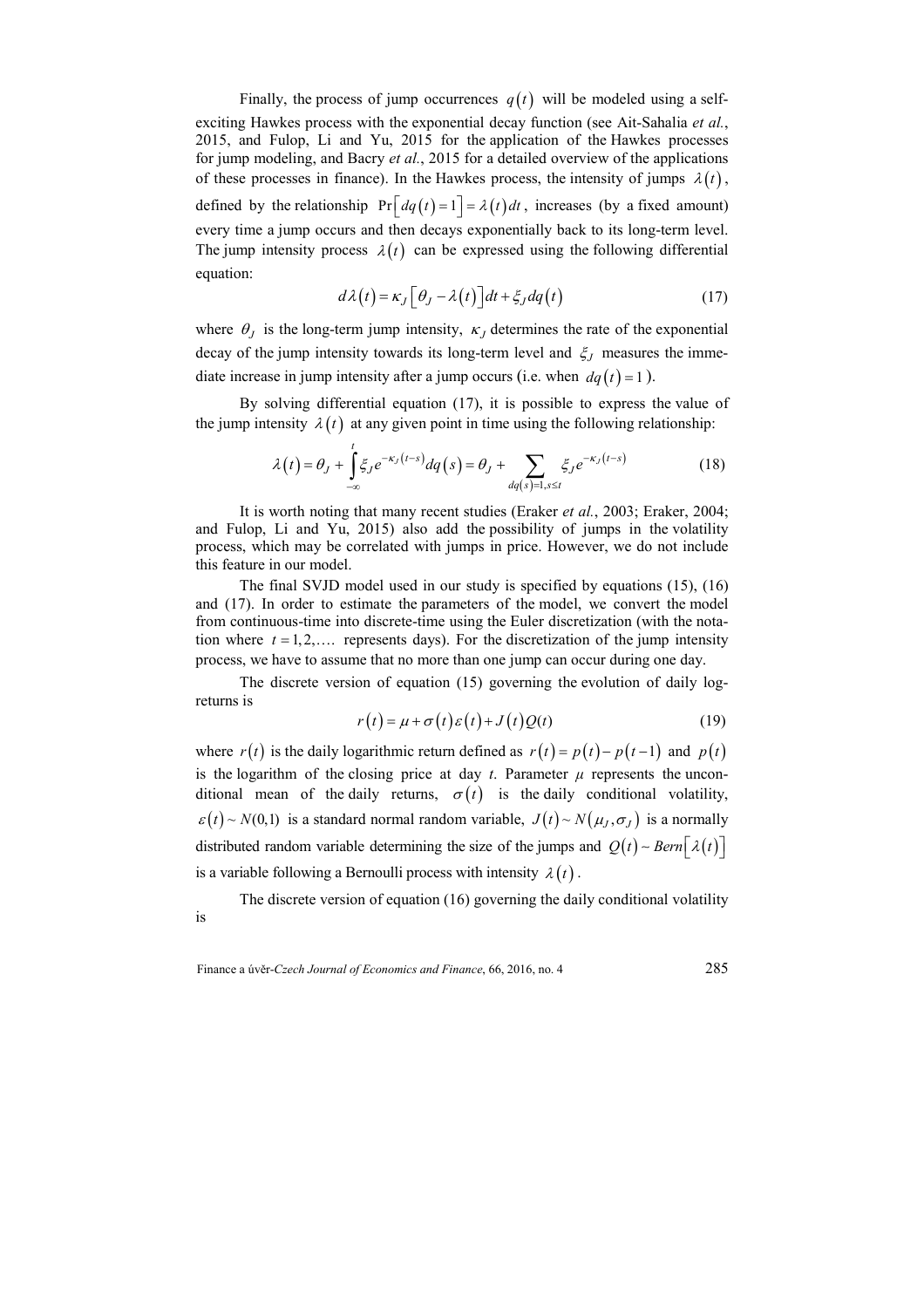Finally, the process of jump occurrences  $q(t)$  will be modeled using a selfexciting Hawkes process with the exponential decay function (see Ait-Sahalia *et al.*, 2015, and Fulop, Li and Yu, 2015 for the application of the Hawkes processes for jump modeling, and Bacry *et al.*, 2015 for a detailed overview of the applications of these processes in finance). In the Hawkes process, the intensity of jumps  $\lambda(t)$ , defined by the relationship  $Pr[ dq(t) = 1] = \lambda(t) dt$ , increases (by a fixed amount) every time a jump occurs and then decays exponentially back to its long-term level. The jump intensity process  $\lambda(t)$  can be expressed using the following differential equation:

$$
d\lambda(t) = \kappa_J \Big[ \theta_J - \lambda(t) \Big] dt + \xi_J dq(t) \tag{17}
$$

where  $\theta_J$  is the long-term jump intensity,  $\kappa_J$  determines the rate of the exponential decay of the jump intensity towards its long-term level and  $\xi_J$  measures the immediate increase in jump intensity after a jump occurs (i.e. when  $dq(t) = 1$ ).

By solving differential equation (17), it is possible to express the value of the jump intensity  $\lambda(t)$  at any given point in time using the following relationship:

$$
\lambda(t) = \theta_J + \int_{-\infty}^{t} \xi_J e^{-\kappa_J (t-s)} dq(s) = \theta_J + \sum_{dq(s)=1, s \le t} \xi_J e^{-\kappa_J (t-s)} \tag{18}
$$

It is worth noting that many recent studies (Eraker *et al.*, 2003; Eraker, 2004; and Fulop, Li and Yu, 2015) also add the possibility of jumps in the volatility process, which may be correlated with jumps in price. However, we do not include this feature in our model.

The final SVJD model used in our study is specified by equations (15), (16) and (17). In order to estimate the parameters of the model, we convert the model from continuous-time into discrete-time using the Euler discretization (with the notation where  $t = 1, 2, \ldots$  represents days). For the discretization of the jump intensity process, we have to assume that no more than one jump can occur during one day.

The discrete version of equation (15) governing the evolution of daily logreturns is

$$
r(t) = \mu + \sigma(t)\varepsilon(t) + J(t)Q(t)
$$
\n(19)

where  $r(t)$  is the daily logarithmic return defined as  $r(t) = p(t) - p(t-1)$  and  $p(t)$ is the logarithm of the closing price at day  $t$ . Parameter  $\mu$  represents the unconditional mean of the daily returns,  $\sigma(t)$  is the daily conditional volatility,  $\varepsilon(t) \sim N(0,1)$  is a standard normal random variable,  $J(t) \sim N(\mu_I, \sigma_I)$  is a normally distributed random variable determining the size of the jumps and  $Q(t) \sim \text{Bern}[\lambda(t)]$ is a variable following a Bernoulli process with intensity  $\lambda(t)$ .

The discrete version of equation (16) governing the daily conditional volatility is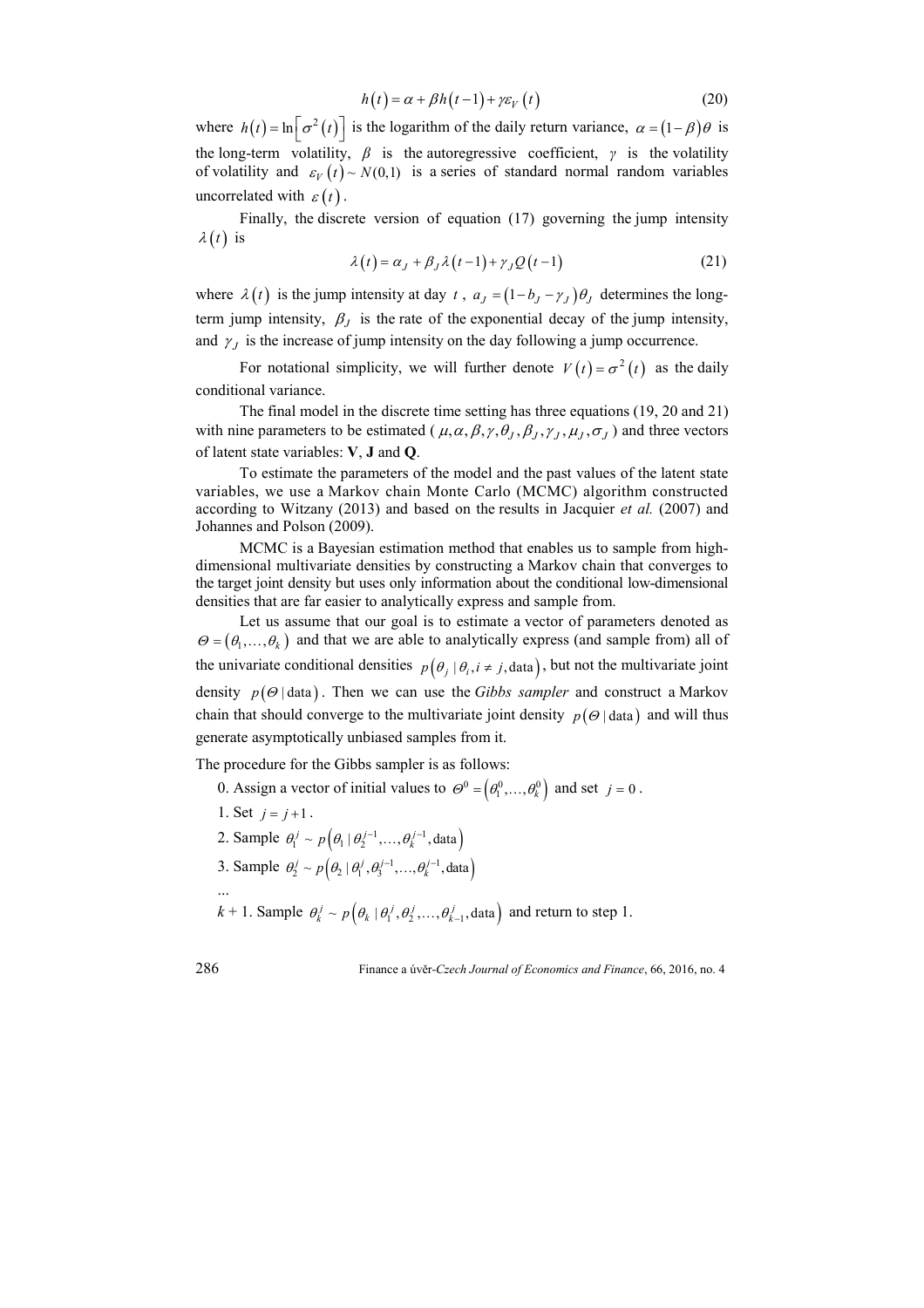$$
h(t) = \alpha + \beta h(t-1) + \gamma \varepsilon_V(t)
$$
\n(20)

where  $h(t) = \ln \left[ \sigma^2(t) \right]$  is the logarithm of the daily return variance,  $\alpha = (1 - \beta)\theta$  is the long-term volatility,  $\beta$  is the autoregressive coefficient,  $\gamma$  is the volatility of volatility and  $\varepsilon_V(t) \sim N(0,1)$  is a series of standard normal random variables uncorrelated with  $\varepsilon(t)$ .

Finally, the discrete version of equation (17) governing the jump intensity  $\lambda(t)$  is

$$
\lambda(t) = \alpha_J + \beta_J \lambda(t-1) + \gamma_J Q(t-1) \tag{21}
$$

where  $\lambda(t)$  is the jump intensity at day t,  $a_J = (1 - b_J - \gamma_J)\theta_J$  determines the longterm jump intensity,  $\beta_j$  is the rate of the exponential decay of the jump intensity, and  $\gamma_J$  is the increase of jump intensity on the day following a jump occurrence.

For notational simplicity, we will further denote  $V(t) = \sigma^2(t)$  as the daily conditional variance.

The final model in the discrete time setting has three equations (19, 20 and 21) with nine parameters to be estimated ( $\mu$ ,  $\alpha$ ,  $\beta$ ,  $\gamma$ ,  $\theta$ <sub>*I*</sub>,  $\beta$ <sub>*J*</sub>,  $\gamma$ <sub>*J*</sub>,  $\mu$ <sub>*J*</sub>,  $\sigma$ <sub>*J*</sub>) and three vectors of latent state variables: **V**, **J** and **Q**.

To estimate the parameters of the model and the past values of the latent state variables, we use a Markov chain Monte Carlo (MCMC) algorithm constructed according to Witzany (2013) and based on the results in Jacquier *et al.* (2007) and Johannes and Polson (2009).

MCMC is a Bayesian estimation method that enables us to sample from highdimensional multivariate densities by constructing a Markov chain that converges to the target joint density but uses only information about the conditional low-dimensional densities that are far easier to analytically express and sample from.

Let us assume that our goal is to estimate a vector of parameters denoted as  $\Theta = (\theta_1, ..., \theta_k)$  and that we are able to analytically express (and sample from) all of the univariate conditional densities  $p(\theta_i | \theta_i, i \neq j$ , data), but not the multivariate joint density  $p(\Theta | \text{data})$ . Then we can use the *Gibbs sampler* and construct a Markov chain that should converge to the multivariate joint density  $p(\Theta | \text{data})$  and will thus generate asymptotically unbiased samples from it.

The procedure for the Gibbs sampler is as follows:

- 0. Assign a vector of initial values to  $\Theta^0 = (\theta_1^0, ..., \theta_k^0)$  and set  $j = 0$ .
- 1. Set  $j = j + 1$ . 2. Sample  $\theta_1^j \sim p\left(\theta_1 \mid \theta_2^{j-1}, \dots, \theta_k^{j-1}, \text{data}\right)$
- 3. Sample  $\theta_2^j \sim p\left(\theta_2 \mid \theta_1^j, \theta_3^{j-1}, \dots, \theta_k^{j-1}, \text{data}\right)$
- $k+1$ . Sample  $\theta_k^j \sim p\left(\theta_k \mid \theta_1^j, \theta_2^j, \dots, \theta_{k-1}^j, \text{data}\right)$  and return to step 1.

...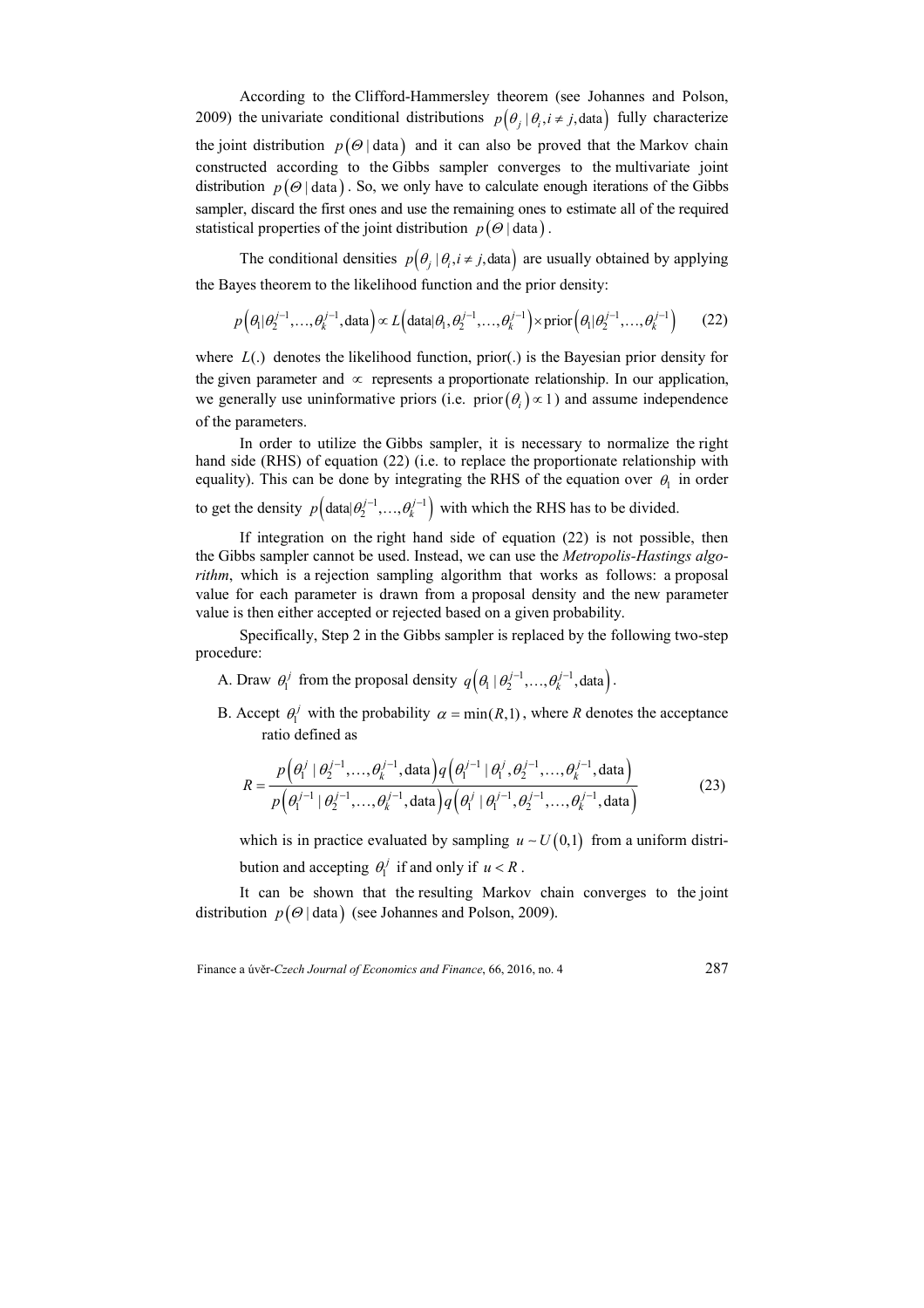According to the Clifford-Hammersley theorem (see Johannes and Polson, 2009) the univariate conditional distributions  $p(\theta_i | \theta_i, i \neq j$ , data) fully characterize the joint distribution  $p(\Theta | \text{data})$  and it can also be proved that the Markov chain constructed according to the Gibbs sampler converges to the multivariate joint distribution  $p(\Theta | \text{data})$ . So, we only have to calculate enough iterations of the Gibbs sampler, discard the first ones and use the remaining ones to estimate all of the required statistical properties of the joint distribution *p* (<sup>Θ</sup> | data ) .

The conditional densities  $p(\theta_i | \theta_i, i \neq j$ , data) are usually obtained by applying the Bayes theorem to the likelihood function and the prior density:

 $p\left(\theta_1|\theta_2^{j-1},...,\theta_k^{j-1},\text{data}\right) \propto L\left(\text{data}|\theta_1,\theta_2^{j-1},...,\theta_k^{j-1}\right) \times \text{prior}\left(\theta_1|\theta_2^{j-1},...,\theta_k^{j-1}\right)$  (22)

where *L*(.) denotes the likelihood function, prior(.) is the Bayesian prior density for the given parameter and  $\infty$  represents a proportionate relationship. In our application, we generally use uninformative priors (i.e. prior  $(\theta_i) \propto 1$ ) and assume independence of the parameters.

In order to utilize the Gibbs sampler, it is necessary to normalize the right hand side (RHS) of equation (22) (i.e. to replace the proportionate relationship with equality). This can be done by integrating the RHS of the equation over  $\theta_1$  in order to get the density  $p(\text{data} | \theta_2^{j-1},..., \theta_k^{j-1})$  with which the RHS has to be divided.

If integration on the right hand side of equation (22) is not possible, then the Gibbs sampler cannot be used. Instead, we can use the *Metropolis-Hastings algorithm*, which is a rejection sampling algorithm that works as follows: a proposal value for each parameter is drawn from a proposal density and the new parameter value is then either accepted or rejected based on a given probability.

Specifically, Step 2 in the Gibbs sampler is replaced by the following two-step procedure:

- A. Draw  $\theta_1^j$  from the proposal density  $q\left(\theta_1 | \theta_2^{j-1}, ..., \theta_k^{j-1}, \text{data}\right)$ .
- B. Accept  $\theta_1^j$  with the probability  $\alpha = \min(R, 1)$ , where *R* denotes the acceptance ratio defined as

$$
R = \frac{p\left(\theta_1^{j} \mid \theta_2^{j-1}, \dots, \theta_k^{j-1}, \text{data}\right) q\left(\theta_1^{j-1} \mid \theta_1^{j}, \theta_2^{j-1}, \dots, \theta_k^{j-1}, \text{data}\right)}{p\left(\theta_1^{j-1} \mid \theta_2^{j-1}, \dots, \theta_k^{j-1}, \text{data}\right) q\left(\theta_1^{j} \mid \theta_1^{j-1}, \theta_2^{j-1}, \dots, \theta_k^{j-1}, \text{data}\right)}
$$
(23)

which is in practice evaluated by sampling  $u \sim U(0,1)$  from a uniform distribution and accepting  $\theta_1^j$  if and only if  $u < R$ .

It can be shown that the resulting Markov chain converges to the joint distribution  $p(\Theta | \text{data})$  (see Johannes and Polson, 2009).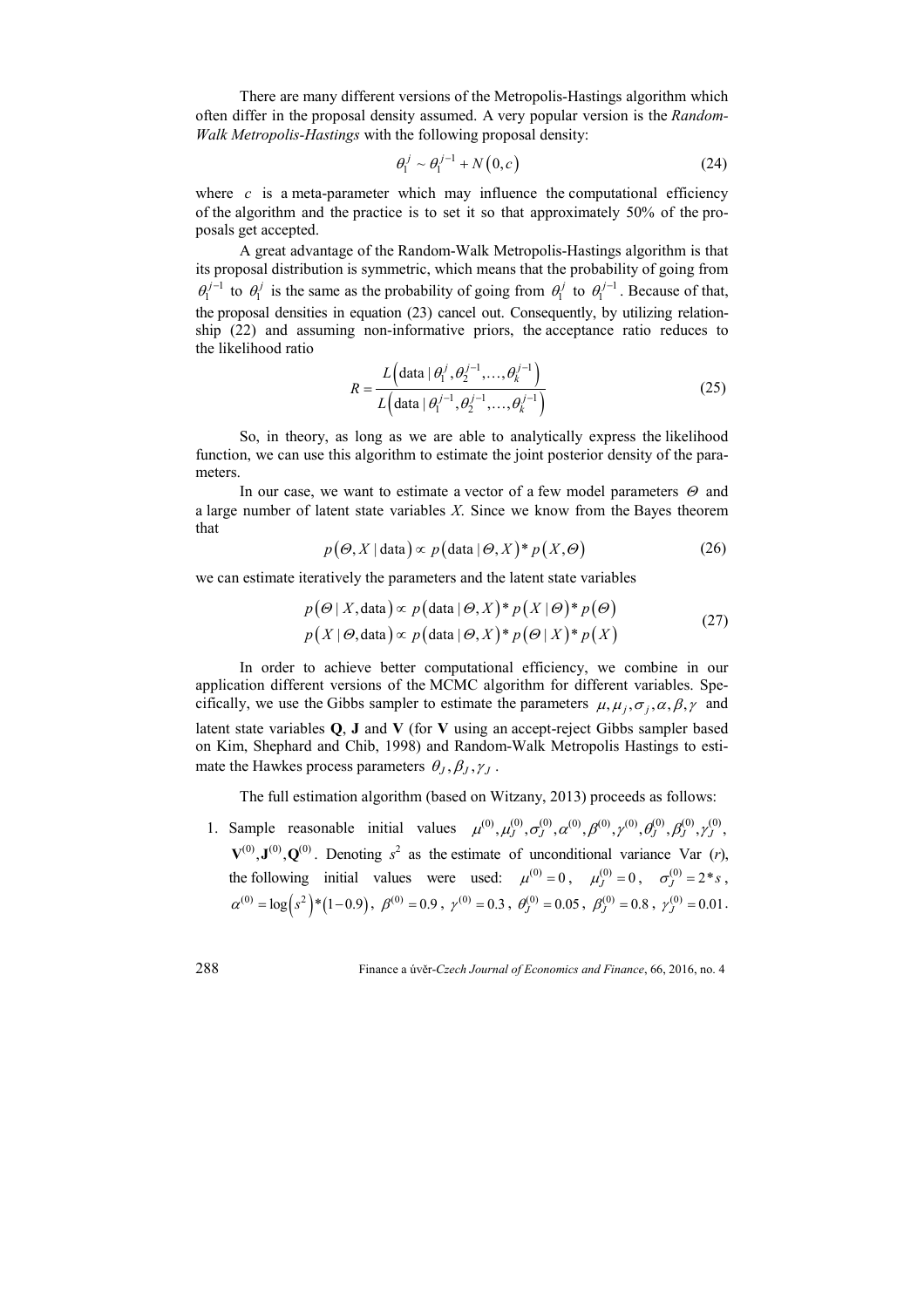There are many different versions of the Metropolis-Hastings algorithm which often differ in the proposal density assumed. A very popular version is the *Random-Walk Metropolis-Hastings* with the following proposal density:

$$
\theta_1^j \sim \theta_1^{j-1} + N(0, c) \tag{24}
$$

where  $c$  is a meta-parameter which may influence the computational efficiency of the algorithm and the practice is to set it so that approximately 50% of the proposals get accepted.

A great advantage of the Random-Walk Metropolis-Hastings algorithm is that its proposal distribution is symmetric, which means that the probability of going from  $\theta_1^{j-1}$  to  $\theta_1^j$  is the same as the probability of going from  $\theta_1^j$  to  $\theta_1^{j-1}$ . Because of that, the proposal densities in equation (23) cancel out. Consequently, by utilizing relationship (22) and assuming non-informative priors, the acceptance ratio reduces to the likelihood ratio

$$
R = \frac{L\left(\text{data} \mid \theta_1^j, \theta_2^{j-1}, \dots, \theta_k^{j-1}\right)}{L\left(\text{data} \mid \theta_1^{j-1}, \theta_2^{j-1}, \dots, \theta_k^{j-1}\right)}
$$
(25)

So, in theory, as long as we are able to analytically express the likelihood function, we can use this algorithm to estimate the joint posterior density of the parameters.

In our case, we want to estimate a vector of a few model parameters  $\Theta$  and a large number of latent state variables *X*. Since we know from the Bayes theorem that

$$
p(\Theta, X | \text{data}) \propto p(\text{data} | \Theta, X)^* p(X, \Theta)
$$
 (26)

we can estimate iteratively the parameters and the latent state variables

$$
p(\Theta | X, \text{data}) \propto p(\text{data} | \Theta, X)^* p(X | \Theta)^* p(\Theta)
$$
  
 
$$
p(X | \Theta, \text{data}) \propto p(\text{data} | \Theta, X)^* p(\Theta | X)^* p(X)
$$
 (27)

In order to achieve better computational efficiency, we combine in our application different versions of the MCMC algorithm for different variables. Specifically, we use the Gibbs sampler to estimate the parameters  $\mu, \mu_i, \sigma_i, \alpha, \beta, \gamma$  and latent state variables **Q**, **J** and **V** (for **V** using an accept-reject Gibbs sampler based on Kim, Shephard and Chib, 1998) and Random-Walk Metropolis Hastings to estimate the Hawkes process parameters  $\theta_J, \beta_J, \gamma_J$ .

The full estimation algorithm (based on Witzany, 2013) proceeds as follows:

1. Sample reasonable initial values  $\mu^{(0)}, \mu^{(0)}_J, \sigma^{(0)}_J, \alpha^{(0)}, \beta^{(0)}_J, \gamma^{(0)}_J, \beta^{(0)}_J, \gamma^{(0)}_J, \gamma^{(0)}_J, \gamma^{(0)}_J, \gamma^{(0)}_J, \gamma^{(0)}_J, \gamma^{(0)}_J, \gamma^{(0)}_J, \gamma^{(0)}_J, \gamma^{(0)}_J, \gamma^{(0)}_J, \gamma^{(0)}_J, \gamma^{(0)}_J, \gamma^{(0)}_J, \gamma^{(0)}_J, \$  $V^{(0)}, J^{(0)}, Q^{(0)}$ . Denoting  $s^2$  as the estimate of unconditional variance Var (*r*), the following initial values were used:  $\mu^{(0)} = 0$ ,  $\mu^{(0)}_J = 0$ ,  $\sigma^{(0)}_J = 2 * s$ ,  $\alpha^{(0)} = \log (s^2) * (1-0.9)$ ,  $\beta^{(0)} = 0.9$ ,  $\gamma^{(0)} = 0.3$ ,  $\theta_J^{(0)} = 0.05$ ,  $\beta_J^{(0)} = 0.8$ ,  $\gamma_J^{(0)} = 0.01$ .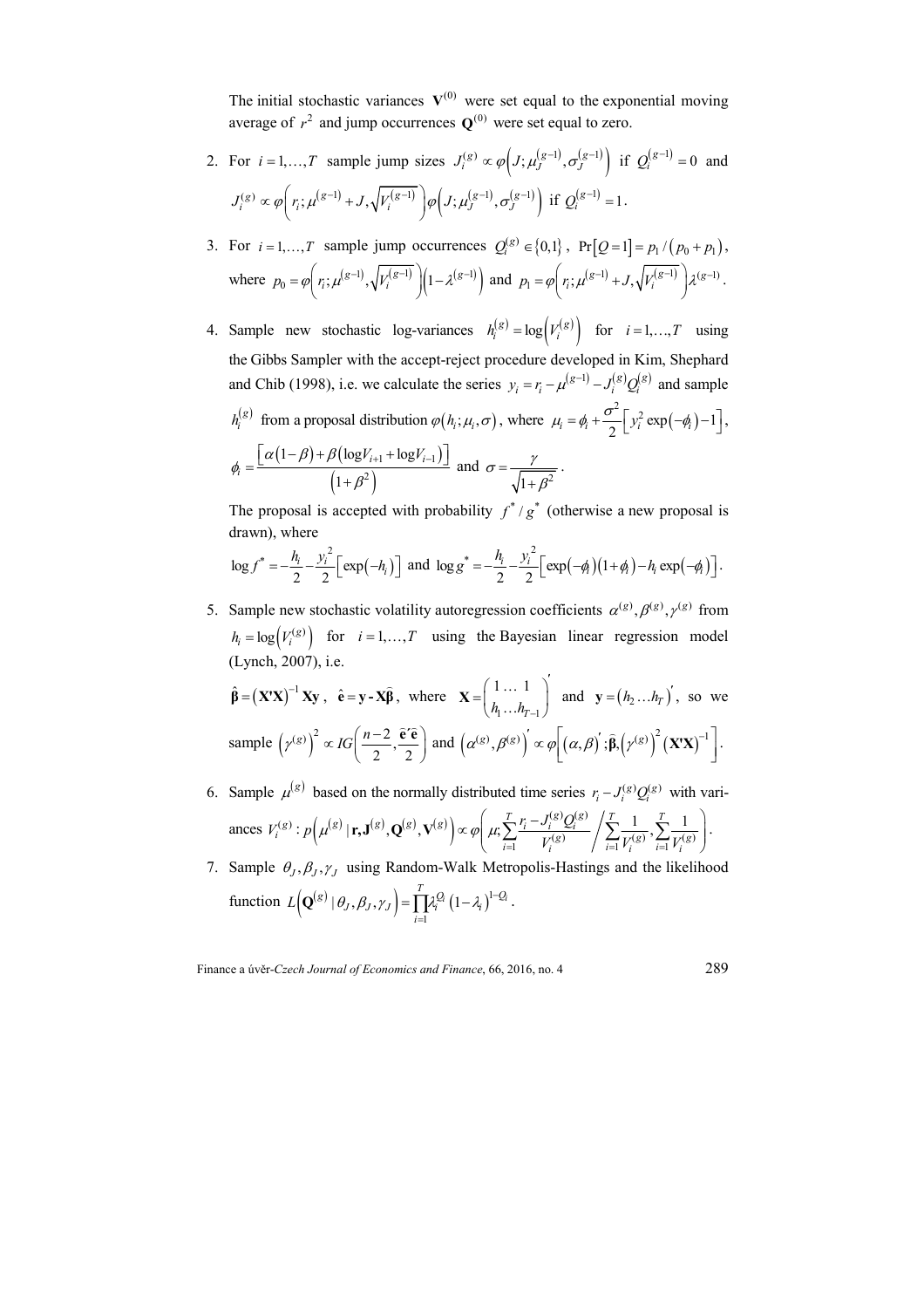The initial stochastic variances  $V^{(0)}$  were set equal to the exponential moving average of  $r^2$  and jump occurrences  $\mathbf{Q}^{(0)}$  were set equal to zero.

- 2. For  $i = 1,..., T$  sample jump sizes  $J_i^{(g)} \propto \varphi\left(J; \mu_J^{(g-1)}, \sigma_J^{(g-1)}\right)$  if  $Q_i^{(g-1)} = 0$  and  $J_i^{(g)} \propto \varphi \bigg( r_i ; \mu^{(g-1)} + J, \sqrt{V_i^{(g-1)}} \bigg) \varphi \bigg( J ; \mu_j^{(g-1)}, \sigma_j^{(g-1)} \bigg) \text{ if } Q_i^{(g-1)} = 1.$
- 3. For  $i = 1,..., T$  sample jump occurrences  $Q_i^{(g)} \in \{0,1\}$ ,  $Pr[Q = 1] = p_1 / (p_0 + p_1)$ , where  $p_0 = \varphi\left(r_i; \mu^{(g-1)}, \sqrt{V_i^{(g-1)}}\right) \left(1 - \lambda^{(g-1)}\right)$  and  $p_1 = \varphi\left(r_i; \mu^{(g-1)} + J, \sqrt{V_i^{(g-1)}}\right) \lambda^{(g-1)}$ .
- 4. Sample new stochastic log-variances  $h_i^{(g)} = \log \left( V_i^{(g)} \right)$  for  $i = 1, ..., T$  using the Gibbs Sampler with the accept-reject procedure developed in Kim, Shephard and Chib (1998), i.e. we calculate the series  $y_i = r_i - \mu^{(g-1)} - J_i^{(g)} Q_i^{(g)}$  and sample  $h_i^{(g)}$  from a proposal distribution  $\varphi(h_i; \mu_i, \sigma)$ , where  $\mu_i = \phi_i + \frac{\sigma^2}{2} \left[ y_i^2 \exp(-\phi_i) - 1 \right]$ ,  $(1-\beta) + \beta (\log V_{i+1} + \log V_{i-1})$  $\overline{\left(1+\beta^2\right)}$  $1 + \log r_{i-1}$ 2  $1-\beta$ ) +  $\beta$ (log $V_{i+1}$  + log 1  $_{i+1}$  +  $_{i+1}$ *i*  $\alpha(1-\beta) + \beta(\log V_{i+1} + \log V_i)$  $\phi_i$ β  $=\frac{\left[\alpha(1-\beta)+\beta(\log V_{i+1}+\log V_{i-1})\right]}{\alpha}$ + and  $\sigma = \frac{7}{\sqrt{1 + \beta^2}}$  $\sigma = \frac{\gamma}{\sqrt{2\pi}}$ β = + .

The proposal is accepted with probability  $f^*/g^*$  (otherwise a new proposal is drawn), where

$$
\log f^* = -\frac{h_i}{2} - \frac{y_i^2}{2} \Big[ \exp(-h_i) \Big] \text{ and } \log g^* = -\frac{h_i}{2} - \frac{y_i^2}{2} \Big[ \exp(-\phi_i) \big( 1 + \phi_i \big) - h_i \exp(-\phi_i) \Big].
$$

5. Sample new stochastic volatility autoregression coefficients  $\alpha^{(g)}, \beta^{(g)}, \gamma^{(g)}$  from  $h_i = \log(V_i^{(g)})$  for  $i = 1,...,T$  using the Bayesian linear regression model (Lynch, 2007), i.e.

$$
\hat{\beta} = (\mathbf{X'X})^{-1} \mathbf{Xy}, \quad \hat{\mathbf{e}} = \mathbf{y} - \mathbf{X}\hat{\beta}, \text{ where } \mathbf{X} = \begin{pmatrix} 1 \dots 1 \\ h_1 \dots h_{T-1} \end{pmatrix} \text{ and } \mathbf{y} = (h_2 \dots h_T)^{'}, \text{ so we}
$$
\nsample  $(\gamma^{(g)})^2 \propto IG\left(\frac{n-2}{2}, \frac{\hat{\mathbf{e}}'\hat{\mathbf{e}}}{2}\right)$  and  $(\alpha^{(g)}, \beta^{(g)})' \propto \varphi\left[(\alpha, \beta)^{'}; \hat{\beta}, (\gamma^{(g)})^2 (\mathbf{X'X})^{-1}\right].$ 

*'*

- 6. Sample  $\mu^{(g)}$  based on the normally distributed time series  $r_i J_i^{(g)} Q_i^{(g)}$  with variances  $V_i^{(g)}$ :  $p(\mu^{(g)} | \mathbf{r}, \mathbf{J}^{(g)}, \mathbf{Q}^{(g)}, \mathbf{V}^{(g)}) \propto \varphi \left( \mu, \sum_{i} \frac{r_i - J_i^{(g)} Q_i^{(g)}}{V_i^{(g)}} \right)$  $V_i^{(g)}$   $\left( \frac{\sum_{i=1}^N V_i^{(g)}}{V_i} \right)^2 \frac{\sum_{i=1}^N V_i^{(g)}}{V_i^{(g)}}$  $\left\{ \mathbf{F}_{i} \mathbf{J}^{(g)}, \mathbf{Q}^{(g)}, \mathbf{V}^{(g)} \right\} \propto \varphi \left( \mu; \sum_{i=1}^{T} \frac{r_{i} - J_{i}^{(g)} Q_{i}^{(g)}}{V_{i}^{(g)}} \middle/ \sum_{i=1}^{T} \frac{1}{V_{i}^{(g)}}, \sum_{i=1}^{T} \frac{1}{V_{i}^{(g)}} \right)$  $p(\mu^{(g)}|\mathbf{r},\mathbf{J}^{(g)},\mathbf{Q}^{(g)},\mathbf{V}^{(g)}) \propto \varphi \left(\mu, \sum_{i}^{T} \frac{r_i - J_i^{(g)}Q_i}{r} \right)$  $V_i^{(g)}$  /  $\frac{1}{i} V_i^{(g)}$   $\frac{1}{i} V_i$  $\mu^{(\mathcal{S})}\,|\mathbf{r},\mathbf{J}^{(\mathcal{S})},\mathbf{Q}^{(\mathcal{S})},\mathbf{V}^{(\mathcal{S})}\,]\,\propto\varphi|\,\,\mu$  $=1$   $V_i^{\circ\circ}$   $|i=1$   $V_i^{\circ\circ}$   $i=$  $\propto \varphi \left( \mu, \sum_{i} \frac{r_i - J_i^{(g)} Q_i^{(g)}}{r_i^{(g)}} \middle/ \sum_{i} \frac{1}{r_i^{(g)}} , \sum_{i} \frac{1}{r_i^{(g)}} \right)$  $\left( \begin{array}{cc} \overline{i=1} & V_i^{\otimes} \end{array} \right)$   $\overline{i=1}V_i^{\otimes} \overline{i=1}V_i^{\otimes} \end{array}$  $\left[\mathbf{r},\mathbf{J}^{(g)},\mathbf{Q}^{(g)},\mathbf{V}^{(g)}\right]\propto\varphi\left|\right.\left.\mu;\sum_{l'}\frac{V_{l}-V_{l}}{V_{l}(g)}\right.\left.\left.\sum_{l'}\frac{1}{V_{l}(g)},\sum_{l'}\frac{1}{V_{l}(g)}\right.\right|.$
- 7. Sample  $\theta_J$ ,  $\beta_J$ ,  $\gamma_J$  using Random-Walk Metropolis-Hastings and the likelihood function  $L(Q^{(g)} | \theta_J, \beta_J, \gamma_J) = \prod_{i=1}^{T} \lambda_i^{Q_i} (1 - \lambda_i)^{1 - Q_i}$ . 1 *i* =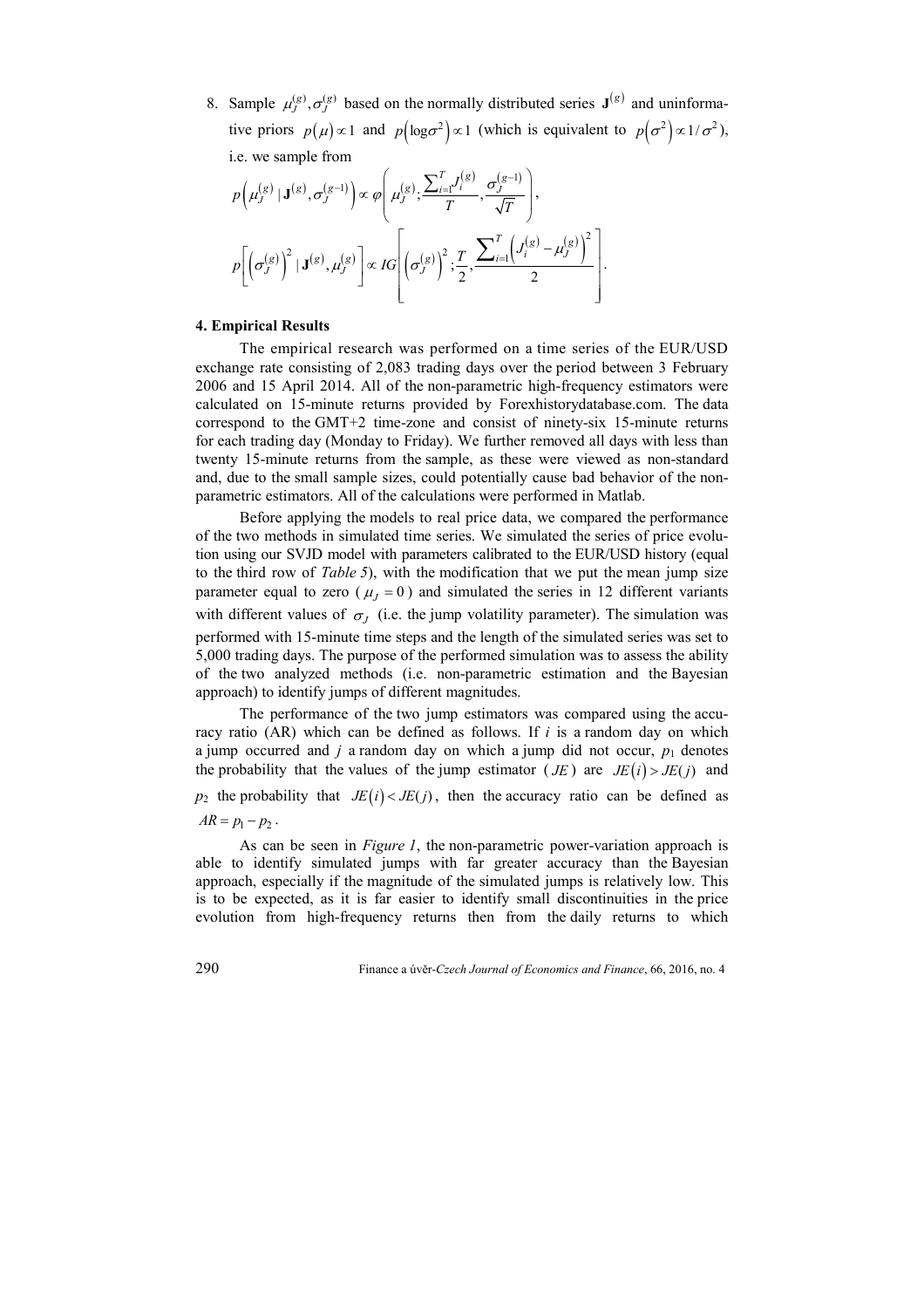8. Sample  $\mu_j^{(g)}$ ,  $\sigma_j^{(g)}$  based on the normally distributed series  $\mathbf{J}^{(g)}$  and uninformative priors  $p(\mu) \propto 1$  and  $p(\log \sigma^2) \propto 1$  (which is equivalent to  $p(\sigma^2) \propto 1/\sigma^2$ ), i.e. we sample from

$$
p\left(\mu_{J}^{(g)}\,|\,\mathbf{J}^{(g)},\sigma_{J}^{(g-1)}\right)\propto\varphi\left(\mu_{J}^{(g)};\frac{\sum_{i=1}^{T}J_{i}^{(g)}}{T},\frac{\sigma_{J}^{(g-1)}}{\sqrt{T}}\right),
$$

$$
p\left[\left(\sigma_{J}^{(g)}\right)^{2}\,|\,\mathbf{J}^{(g)},\mu_{J}^{(g)}\right]\propto IG\left[\left(\sigma_{J}^{(g)}\right)^{2};\frac{T}{2},\frac{\sum_{i=1}^{T}\left(J_{i}^{(g)}-\mu_{J}^{(g)}\right)^{2}}{2}\right].
$$

# **4. Empirical Results**

The empirical research was performed on a time series of the EUR/USD exchange rate consisting of 2,083 trading days over the period between 3 February 2006 and 15 April 2014. All of the non-parametric high-frequency estimators were calculated on 15-minute returns provided by Forexhistorydatabase.com. The data correspond to the GMT+2 time-zone and consist of ninety-six 15-minute returns for each trading day (Monday to Friday). We further removed all days with less than twenty 15-minute returns from the sample, as these were viewed as non-standard and, due to the small sample sizes, could potentially cause bad behavior of the nonparametric estimators. All of the calculations were performed in Matlab.

Before applying the models to real price data, we compared the performance of the two methods in simulated time series. We simulated the series of price evolution using our SVJD model with parameters calibrated to the EUR/USD history (equal to the third row of *Table 5*), with the modification that we put the mean jump size parameter equal to zero ( $\mu_I = 0$ ) and simulated the series in 12 different variants with different values of  $\sigma$ <sub>*J*</sub> (i.e. the jump volatility parameter). The simulation was performed with 15-minute time steps and the length of the simulated series was set to 5,000 trading days. The purpose of the performed simulation was to assess the ability of the two analyzed methods (i.e. non-parametric estimation and the Bayesian approach) to identify jumps of different magnitudes.

The performance of the two jump estimators was compared using the accuracy ratio (AR) which can be defined as follows. If *i* is a random day on which a jump occurred and  $j$  a random day on which a jump did not occur,  $p_1$  denotes the probability that the values of the jump estimator ( $JE$ ) are  $JE(i) > JE(j)$  and  $p_2$  the probability that  $JE(i) < JE(j)$ , then the accuracy ratio can be defined as  $AR = p_1 - p_2$ .

As can be seen in *Figure 1*, the non-parametric power-variation approach is able to identify simulated jumps with far greater accuracy than the Bayesian approach, especially if the magnitude of the simulated jumps is relatively low. This is to be expected, as it is far easier to identify small discontinuities in the price evolution from high-frequency returns then from the daily returns to which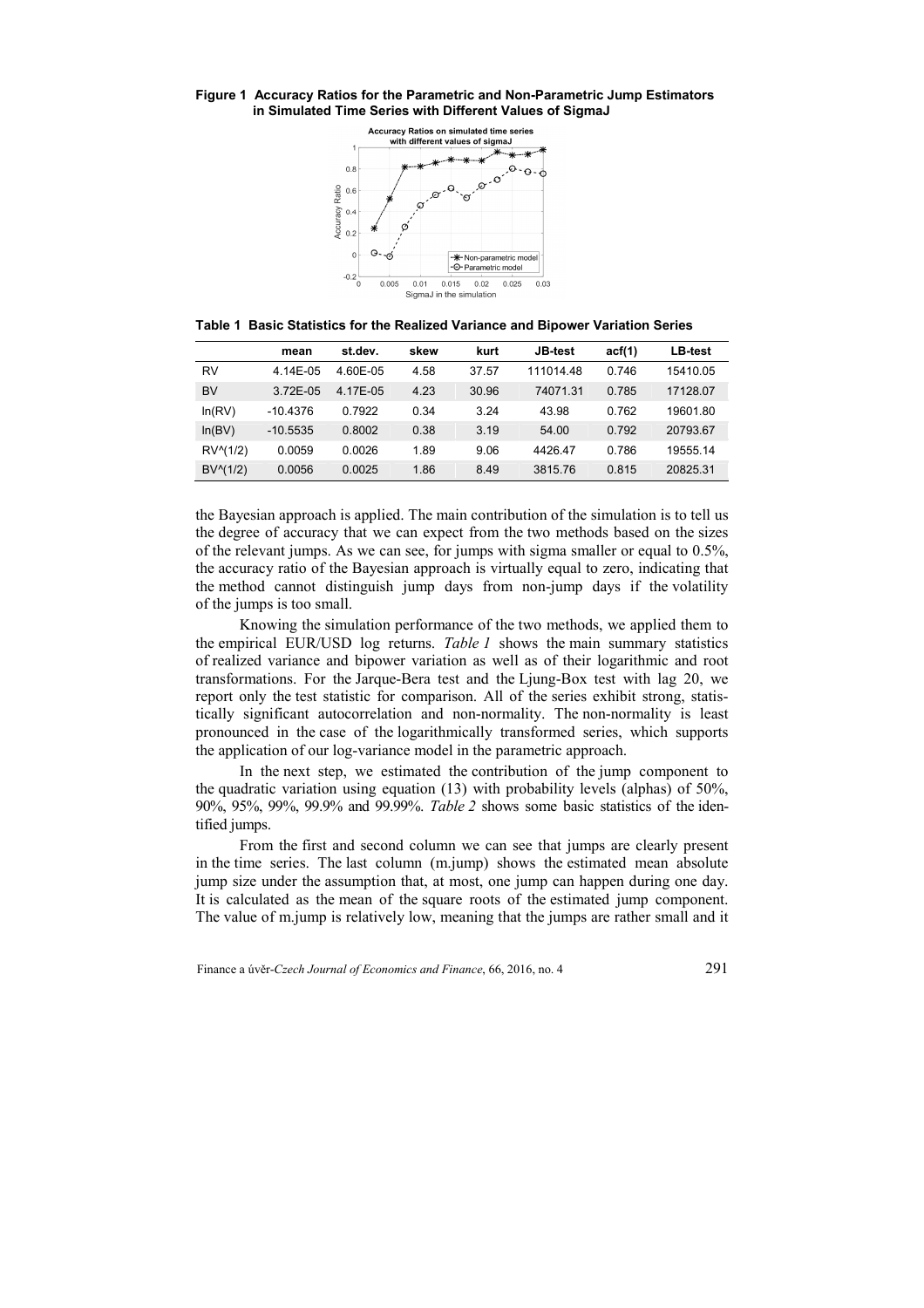#### **Figure 1 Accuracy Ratios for the Parametric and Non-Parametric Jump Estimators in Simulated Time Series with Different Values of SigmaJ**



**Table 1 Basic Statistics for the Realized Variance and Bipower Variation Series** 

|                    | mean       | st.dev.  | skew | kurt  | <b>JB-test</b> | act(1) | <b>LB-test</b> |
|--------------------|------------|----------|------|-------|----------------|--------|----------------|
| RV                 | 4.14E-05   | 4.60E-05 | 4.58 | 37.57 | 111014.48      | 0.746  | 15410.05       |
| <b>BV</b>          | 3.72E-05   | 4.17E-05 | 4.23 | 30.96 | 74071.31       | 0.785  | 17128.07       |
| ln(RV)             | $-10.4376$ | 0.7922   | 0.34 | 3.24  | 43.98          | 0.762  | 19601.80       |
| ln(BV)             | $-10.5535$ | 0.8002   | 0.38 | 3.19  | 54.00          | 0.792  | 20793.67       |
| RV(1/2)            | 0.0059     | 0.0026   | 1.89 | 9.06  | 4426.47        | 0.786  | 19555.14       |
| $BV^{\wedge}(1/2)$ | 0.0056     | 0.0025   | 1.86 | 8.49  | 3815.76        | 0.815  | 20825.31       |

the Bayesian approach is applied. The main contribution of the simulation is to tell us the degree of accuracy that we can expect from the two methods based on the sizes of the relevant jumps. As we can see, for jumps with sigma smaller or equal to 0.5%, the accuracy ratio of the Bayesian approach is virtually equal to zero, indicating that the method cannot distinguish jump days from non-jump days if the volatility of the jumps is too small.

Knowing the simulation performance of the two methods, we applied them to the empirical EUR/USD log returns. *Table 1* shows the main summary statistics of realized variance and bipower variation as well as of their logarithmic and root transformations. For the Jarque-Bera test and the Ljung-Box test with lag 20, we report only the test statistic for comparison. All of the series exhibit strong, statistically significant autocorrelation and non-normality. The non-normality is least pronounced in the case of the logarithmically transformed series, which supports the application of our log-variance model in the parametric approach.

In the next step, we estimated the contribution of the jump component to the quadratic variation using equation (13) with probability levels (alphas) of 50%, 90%, 95%, 99%, 99.9% and 99.99%. *Table 2* shows some basic statistics of the identified jumps.

From the first and second column we can see that jumps are clearly present in the time series. The last column (m.jump) shows the estimated mean absolute jump size under the assumption that, at most, one jump can happen during one day. It is calculated as the mean of the square roots of the estimated jump component. The value of m.jump is relatively low, meaning that the jumps are rather small and it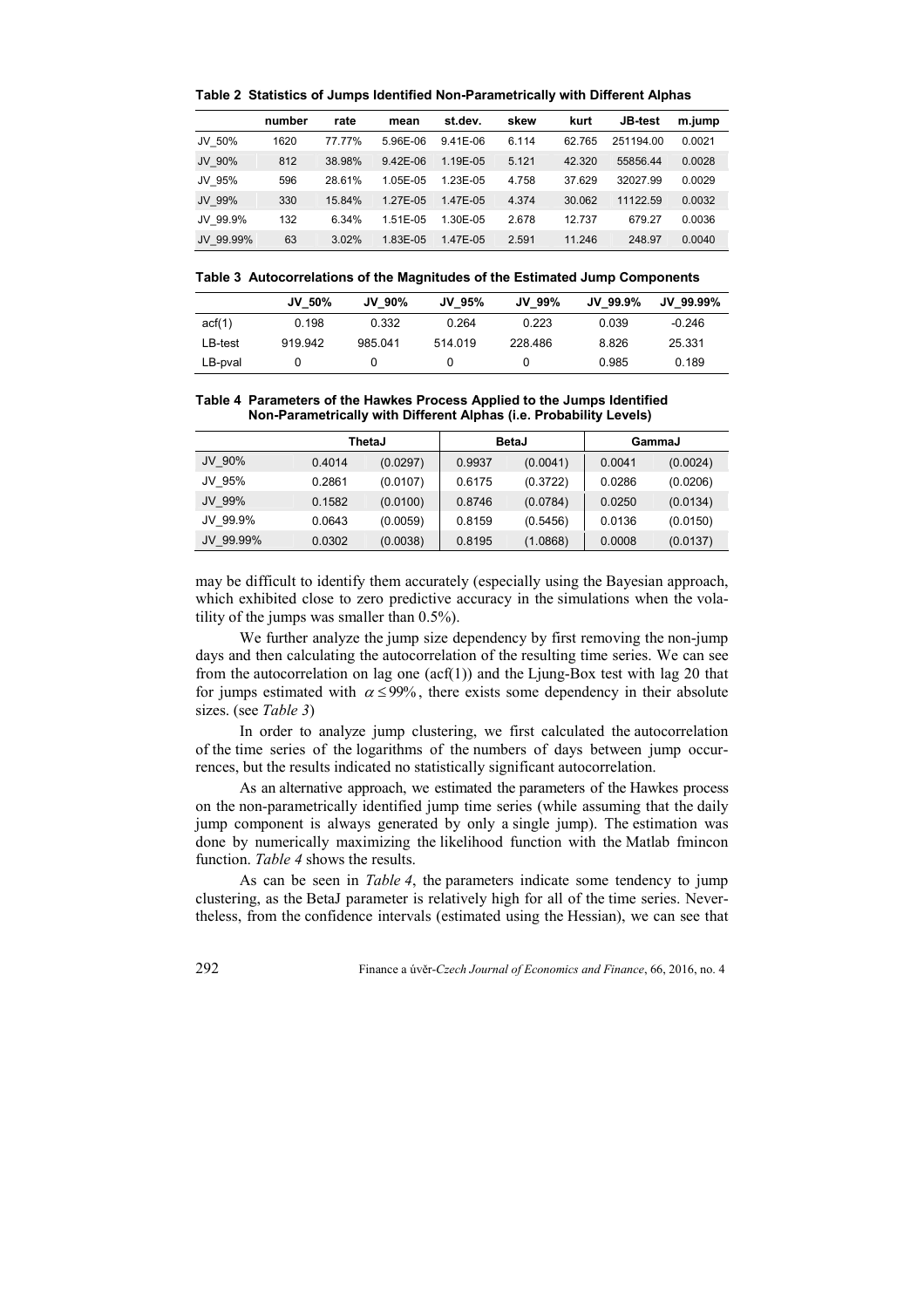|           | number | rate   | mean         | st.dev.      | skew  | kurt   | <b>JB-test</b> | m.jump |
|-----------|--------|--------|--------------|--------------|-------|--------|----------------|--------|
| JV 50%    | 1620   | 77.77% | 5.96E-06     | $9.41E - 06$ | 6.114 | 62.765 | 251194.00      | 0.0021 |
| JV 90%    | 812    | 38.98% | $9.42E - 06$ | 1.19E-05     | 5.121 | 42.320 | 55856.44       | 0.0028 |
| JV 95%    | 596    | 28.61% | 1.05E-05     | 1.23E-05     | 4.758 | 37.629 | 32027.99       | 0.0029 |
| JV 99%    | 330    | 15.84% | 1.27E-05     | 1.47E-05     | 4.374 | 30.062 | 11122.59       | 0.0032 |
| JV 99.9%  | 132    | 6.34%  | 1.51E-05     | 1.30E-05     | 2.678 | 12.737 | 679.27         | 0.0036 |
| JV 99.99% | 63     | 3.02%  | 1.83E-05     | 1.47E-05     | 2.591 | 11.246 | 248.97         | 0.0040 |

**Table 2 Statistics of Jumps Identified Non-Parametrically with Different Alphas** 

|  | Table 3 Autocorrelations of the Magnitudes of the Estimated Jump Components |  |  |  |  |  |  |
|--|-----------------------------------------------------------------------------|--|--|--|--|--|--|
|--|-----------------------------------------------------------------------------|--|--|--|--|--|--|

|         | <b>JV 50%</b> | JV 90%  | JV 95%  | JV 99%  | JV 99.9% | JV 99.99% |
|---------|---------------|---------|---------|---------|----------|-----------|
| act(1)  | 0.198         | 0.332   | 0.264   | 0.223   | 0.039    | $-0.246$  |
| LB-test | 919.942       | 985.041 | 514.019 | 228,486 | 8.826    | 25.331    |
| LB-pval |               |         |         | U       | 0.985    | 0.189     |

## **Table 4 Parameters of the Hawkes Process Applied to the Jumps Identified Non-Parametrically with Different Alphas (i.e. Probability Levels)**

|           | ThetaJ |          |        | <b>BetaJ</b> | GammaJ |          |  |
|-----------|--------|----------|--------|--------------|--------|----------|--|
| JV 90%    | 0.4014 | (0.0297) | 0.9937 | (0.0041)     | 0.0041 | (0.0024) |  |
| JV 95%    | 0.2861 | (0.0107) | 0.6175 | (0.3722)     | 0.0286 | (0.0206) |  |
| JV 99%    | 0.1582 | (0.0100) | 0.8746 | (0.0784)     | 0.0250 | (0.0134) |  |
| JV 99.9%  | 0.0643 | (0.0059) | 0.8159 | (0.5456)     | 0.0136 | (0.0150) |  |
| JV 99.99% | 0.0302 | (0.0038) | 0.8195 | (1.0868)     | 0.0008 | (0.0137) |  |

may be difficult to identify them accurately (especially using the Bayesian approach, which exhibited close to zero predictive accuracy in the simulations when the volatility of the jumps was smaller than 0.5%).

We further analyze the jump size dependency by first removing the non-jump days and then calculating the autocorrelation of the resulting time series. We can see from the autocorrelation on lag one  $(acf(1))$  and the Ljung-Box test with lag 20 that for jumps estimated with  $\alpha \leq 99\%$ , there exists some dependency in their absolute sizes. (see *Table 3*)

In order to analyze jump clustering, we first calculated the autocorrelation of the time series of the logarithms of the numbers of days between jump occurrences, but the results indicated no statistically significant autocorrelation.

As an alternative approach, we estimated the parameters of the Hawkes process on the non-parametrically identified jump time series (while assuming that the daily jump component is always generated by only a single jump). The estimation was done by numerically maximizing the likelihood function with the Matlab fmincon function. *Table 4* shows the results.

As can be seen in *Table 4*, the parameters indicate some tendency to jump clustering, as the BetaJ parameter is relatively high for all of the time series. Nevertheless, from the confidence intervals (estimated using the Hessian), we can see that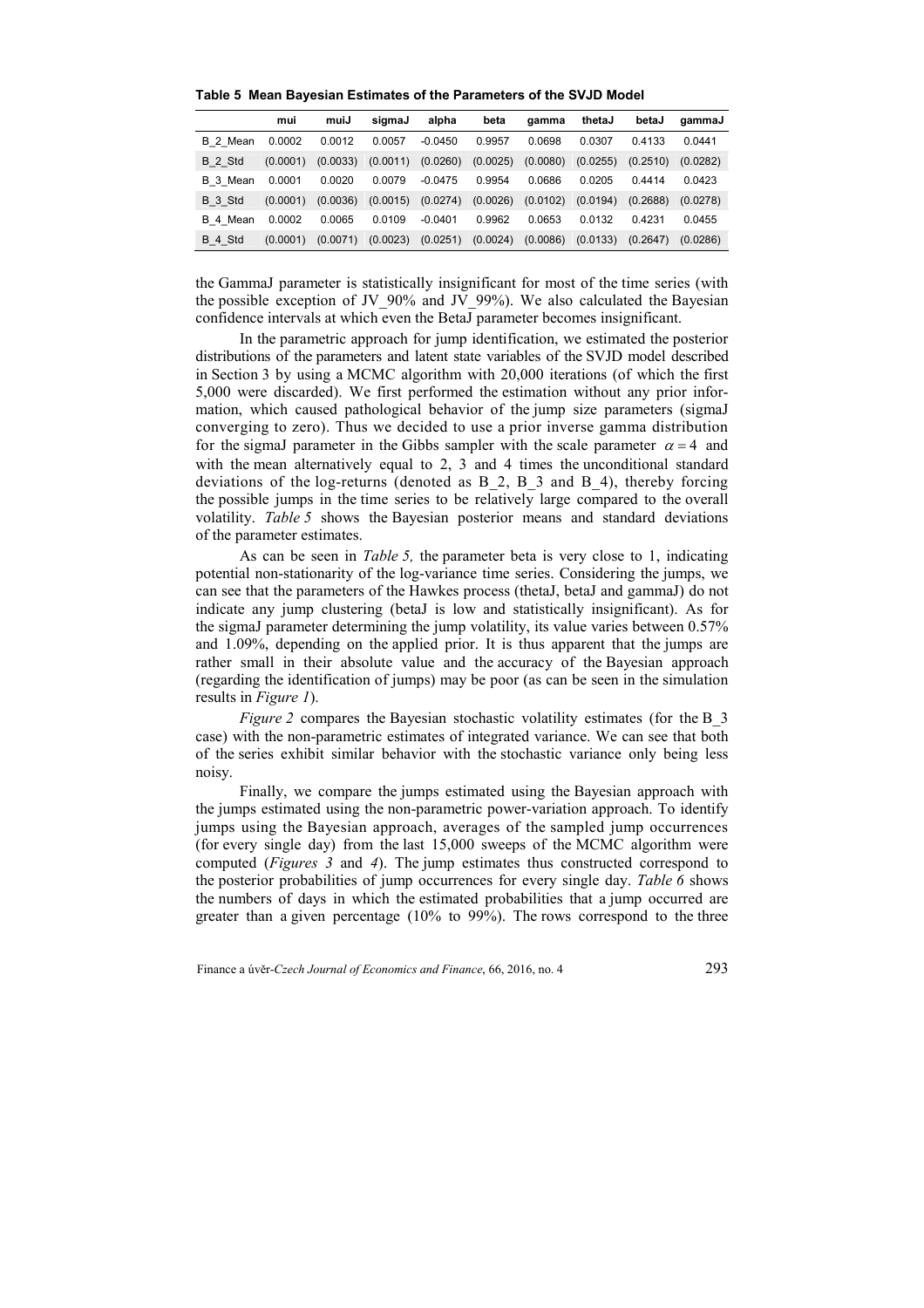|          | mui      | muiJ     | sigmaJ   | alpha     | beta     | gamma    | thetaJ   | betaJ    | gammaJ   |
|----------|----------|----------|----------|-----------|----------|----------|----------|----------|----------|
| B 2 Mean | 0.0002   | 0.0012   | 0.0057   | $-0.0450$ | 0.9957   | 0.0698   | 0.0307   | 0.4133   | 0.0441   |
| B 2 Std  | (0.0001) | (0.0033) | (0.0011) | (0.0260)  | (0.0025) | (0.0080) | (0.0255) | (0.2510) | (0.0282) |
| B 3 Mean | 0.0001   | 0.0020   | 0.0079   | $-0.0475$ | 0.9954   | 0.0686   | 0.0205   | 0.4414   | 0.0423   |
| B 3 Std  | (0.0001) | (0.0036) | (0.0015) | (0.0274)  | (0.0026) | (0.0102) | (0.0194) | (0.2688) | (0.0278) |
| B 4 Mean | 0.0002   | 0.0065   | 0.0109   | $-0.0401$ | 0.9962   | 0.0653   | 0.0132   | 0.4231   | 0.0455   |
| B 4 Std  | (0.0001) | (0.0071) | (0.0023) | (0.0251)  | (0.0024) | (0.0086) | (0.0133) | (0.2647) | (0.0286) |

**Table 5 Mean Bayesian Estimates of the Parameters of the SVJD Model** 

the GammaJ parameter is statistically insignificant for most of the time series (with the possible exception of JV\_90% and JV\_99%). We also calculated the Bayesian confidence intervals at which even the BetaJ parameter becomes insignificant.

In the parametric approach for jump identification, we estimated the posterior distributions of the parameters and latent state variables of the SVJD model described in Section 3 by using a MCMC algorithm with 20,000 iterations (of which the first 5,000 were discarded). We first performed the estimation without any prior information, which caused pathological behavior of the jump size parameters (sigmaJ converging to zero). Thus we decided to use a prior inverse gamma distribution for the sigmaJ parameter in the Gibbs sampler with the scale parameter  $\alpha = 4$  and with the mean alternatively equal to 2, 3 and 4 times the unconditional standard deviations of the log-returns (denoted as B\_2, B\_3 and B\_4), thereby forcing the possible jumps in the time series to be relatively large compared to the overall volatility. *Table 5* shows the Bayesian posterior means and standard deviations of the parameter estimates.

As can be seen in *Table 5,* the parameter beta is very close to 1, indicating potential non-stationarity of the log-variance time series. Considering the jumps, we can see that the parameters of the Hawkes process (thetaJ, betaJ and gammaJ) do not indicate any jump clustering (betaJ is low and statistically insignificant). As for the sigmaJ parameter determining the jump volatility, its value varies between 0.57% and 1.09%, depending on the applied prior. It is thus apparent that the jumps are rather small in their absolute value and the accuracy of the Bayesian approach (regarding the identification of jumps) may be poor (as can be seen in the simulation results in *Figure 1*).

*Figure 2* compares the Bayesian stochastic volatility estimates (for the B 3 case) with the non-parametric estimates of integrated variance. We can see that both of the series exhibit similar behavior with the stochastic variance only being less noisy.

Finally, we compare the jumps estimated using the Bayesian approach with the jumps estimated using the non-parametric power-variation approach. To identify jumps using the Bayesian approach, averages of the sampled jump occurrences (for every single day) from the last 15,000 sweeps of the MCMC algorithm were computed (*Figures 3* and *4*). The jump estimates thus constructed correspond to the posterior probabilities of jump occurrences for every single day. *Table 6* shows the numbers of days in which the estimated probabilities that a jump occurred are greater than a given percentage (10% to 99%). The rows correspond to the three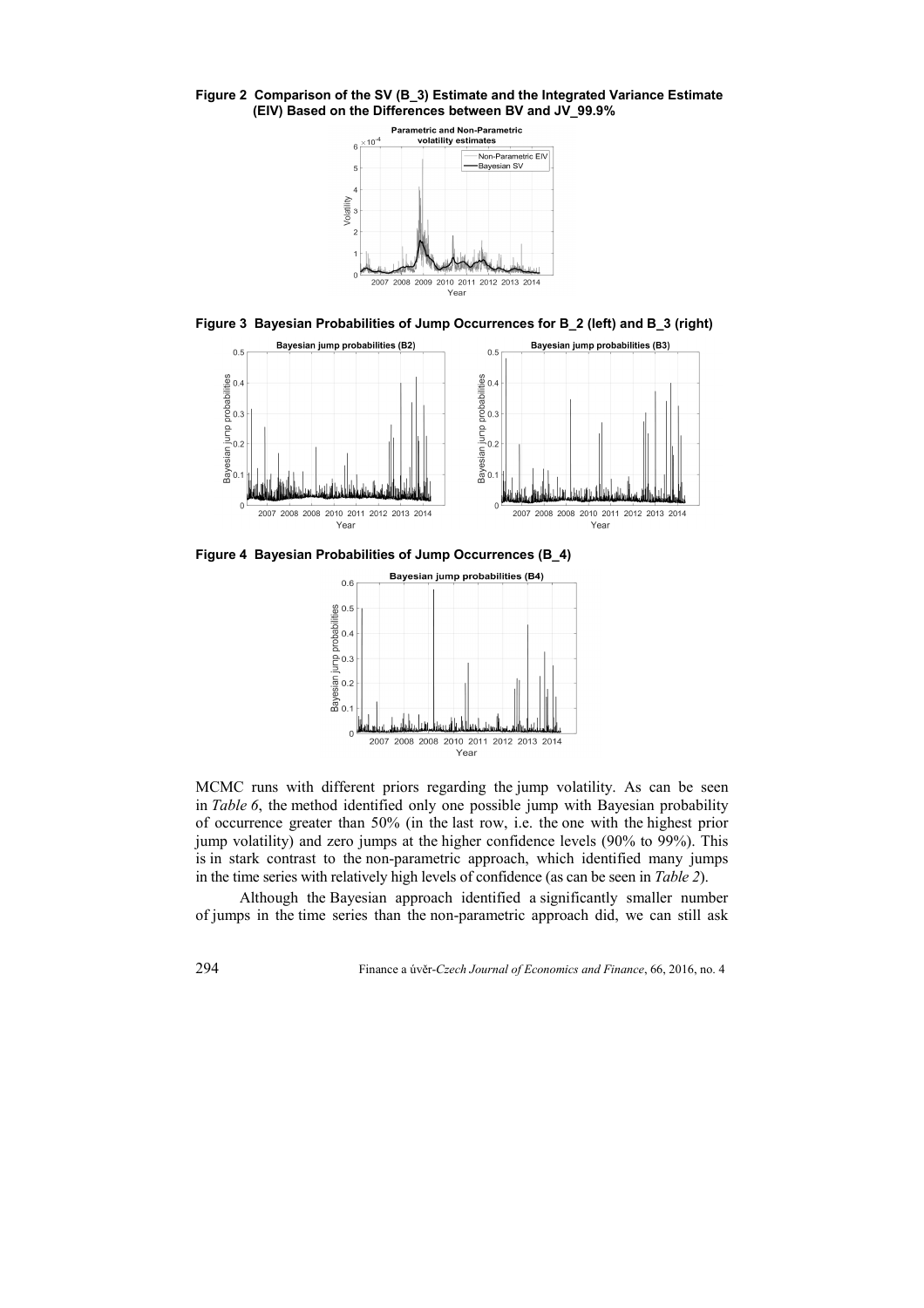**Figure 2 Comparison of the SV (B\_3) Estimate and the Integrated Variance Estimate (EIV) Based on the Differences between BV and JV\_99.9%** 



**Figure 3 Bayesian Probabilities of Jump Occurrences for B\_2 (left) and B\_3 (right)** 



**Figure 4 Bayesian Probabilities of Jump Occurrences (B\_4)** 



MCMC runs with different priors regarding the jump volatility. As can be seen in *Table 6*, the method identified only one possible jump with Bayesian probability of occurrence greater than 50% (in the last row, i.e. the one with the highest prior jump volatility) and zero jumps at the higher confidence levels (90% to 99%). This is in stark contrast to the non-parametric approach, which identified many jumps in the time series with relatively high levels of confidence (as can be seen in *Table 2*).

Although the Bayesian approach identified a significantly smaller number of jumps in the time series than the non-parametric approach did, we can still ask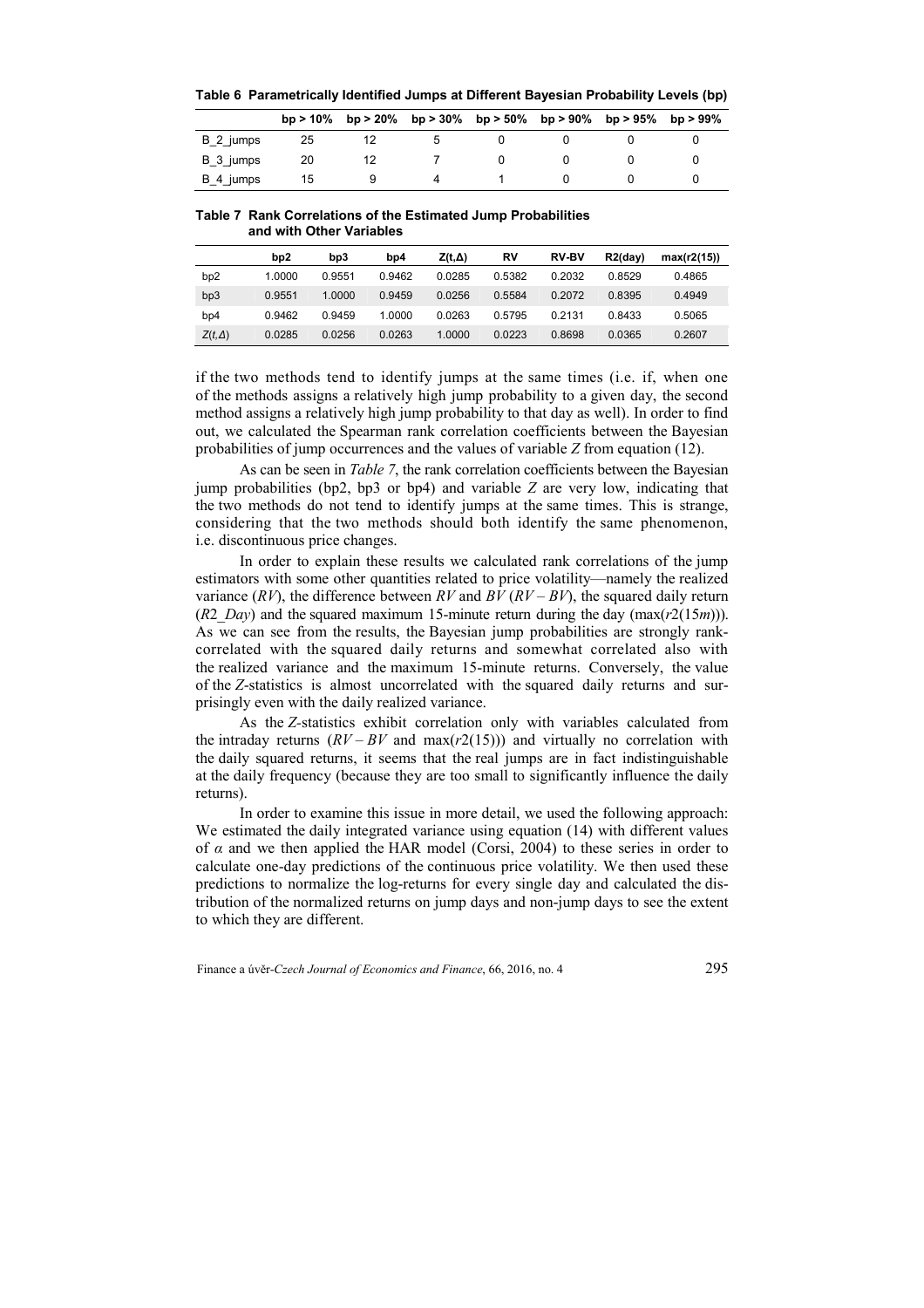|           |    |  | bp > 10% bp > 20% bp > 30% bp > 50% bp > 90% |  | bp > $95\%$ bp > $99\%$ |
|-----------|----|--|----------------------------------------------|--|-------------------------|
| B 2 jumps | 25 |  |                                              |  |                         |
| B 3 jumps | 20 |  |                                              |  |                         |
| B 4 jumps | 15 |  |                                              |  |                         |

**Table 6 Parametrically Identified Jumps at Different Bayesian Probability Levels (bp)** 

#### **Table 7 Rank Correlations of the Estimated Jump Probabilities and with Other Variables**

|               | bp2    | bp3    | bp4    | Z(t,Δ) | R٧     | <b>RV-BV</b> | $R2$ (day) | max(r2(15)) |
|---------------|--------|--------|--------|--------|--------|--------------|------------|-------------|
| bp2           | 1.0000 | 0.9551 | 0.9462 | 0.0285 | 0.5382 | 0.2032       | 0.8529     | 0.4865      |
| bp3           | 0.9551 | 1.0000 | 0.9459 | 0.0256 | 0.5584 | 0.2072       | 0.8395     | 0.4949      |
| bp4           | 0.9462 | 0.9459 | 1.0000 | 0.0263 | 0.5795 | 0.2131       | 0.8433     | 0.5065      |
| $Z(t,\Delta)$ | 0.0285 | 0.0256 | 0.0263 | 1.0000 | 0.0223 | 0.8698       | 0.0365     | 0.2607      |

if the two methods tend to identify jumps at the same times (i.e. if, when one of the methods assigns a relatively high jump probability to a given day, the second method assigns a relatively high jump probability to that day as well). In order to find out, we calculated the Spearman rank correlation coefficients between the Bayesian probabilities of jump occurrences and the values of variable *Z* from equation (12).

As can be seen in *Table 7*, the rank correlation coefficients between the Bayesian jump probabilities (bp2, bp3 or bp4) and variable *Z* are very low, indicating that the two methods do not tend to identify jumps at the same times. This is strange, considering that the two methods should both identify the same phenomenon, i.e. discontinuous price changes.

In order to explain these results we calculated rank correlations of the jump estimators with some other quantities related to price volatility—namely the realized variance  $(RV)$ , the difference between  $RV$  and  $BV$   $(RV - BV)$ , the squared daily return (*R*2 *Day*) and the squared maximum 15-minute return during the day (max( $r$ 2(15*m*))). As we can see from the results, the Bayesian jump probabilities are strongly rankcorrelated with the squared daily returns and somewhat correlated also with the realized variance and the maximum 15-minute returns. Conversely, the value of the *Z*-statistics is almost uncorrelated with the squared daily returns and surprisingly even with the daily realized variance.

As the *Z-*statistics exhibit correlation only with variables calculated from the intraday returns  $(RV - BV$  and  $max(r2(15)))$  and virtually no correlation with the daily squared returns, it seems that the real jumps are in fact indistinguishable at the daily frequency (because they are too small to significantly influence the daily returns).

In order to examine this issue in more detail, we used the following approach: We estimated the daily integrated variance using equation (14) with different values of *α* and we then applied the HAR model (Corsi, 2004) to these series in order to calculate one-day predictions of the continuous price volatility. We then used these predictions to normalize the log-returns for every single day and calculated the distribution of the normalized returns on jump days and non-jump days to see the extent to which they are different.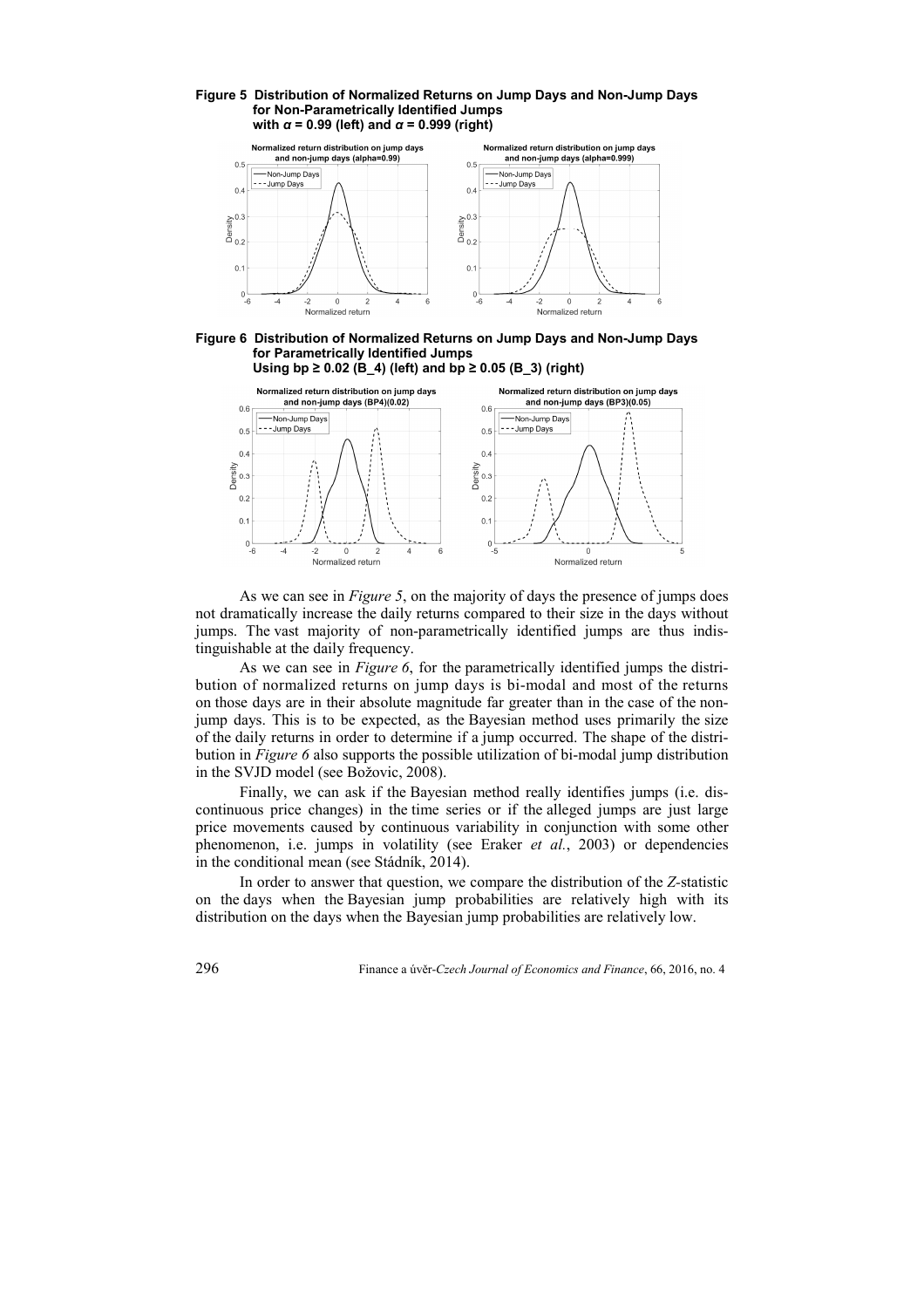



#### **Figure 6 Distribution of Normalized Returns on Jump Days and Non-Jump Days for Parametrically Identified Jumps Using bp ≥ 0.02 (B\_4) (left) and bp ≥ 0.05 (B\_3) (right)**



As we can see in *Figure 5*, on the majority of days the presence of jumps does not dramatically increase the daily returns compared to their size in the days without jumps. The vast majority of non-parametrically identified jumps are thus indistinguishable at the daily frequency.

As we can see in *Figure 6*, for the parametrically identified jumps the distribution of normalized returns on jump days is bi-modal and most of the returns on those days are in their absolute magnitude far greater than in the case of the nonjump days. This is to be expected, as the Bayesian method uses primarily the size of the daily returns in order to determine if a jump occurred. The shape of the distribution in *Figure 6* also supports the possible utilization of bi-modal jump distribution in the SVJD model (see Božovic, 2008).

Finally, we can ask if the Bayesian method really identifies jumps (i.e. discontinuous price changes) in the time series or if the alleged jumps are just large price movements caused by continuous variability in conjunction with some other phenomenon, i.e. jumps in volatility (see Eraker *et al.*, 2003) or dependencies in the conditional mean (see Stádník, 2014).

In order to answer that question, we compare the distribution of the *Z-*statistic on the days when the Bayesian jump probabilities are relatively high with its distribution on the days when the Bayesian jump probabilities are relatively low.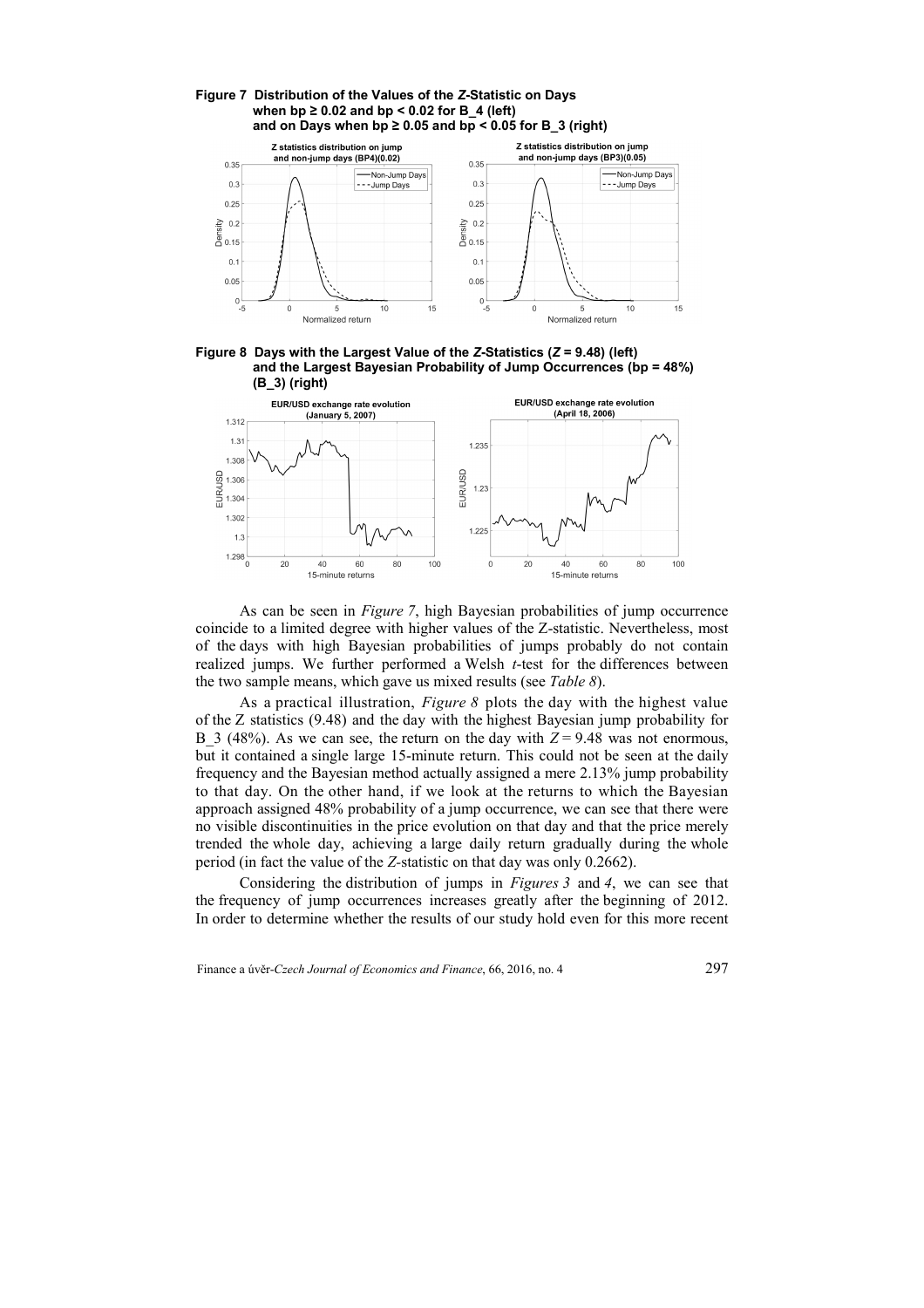

#### **Figure 7 Distribution of the Values of the** *Z***-Statistic on Days when bp ≥ 0.02 and bp < 0.02 for B\_4 (left)**  and on Days when  $bp \ge 0.05$  and  $bp \le 0.05$  for B  $3$  (right)

**Figure 8 Days with the Largest Value of the** *Z***-Statistics (***Z* **= 9.48) (left) and the Largest Bayesian Probability of Jump Occurrences (bp = 48%) (B\_3) (right)** 



As can be seen in *Figure 7*, high Bayesian probabilities of jump occurrence coincide to a limited degree with higher values of the Z-statistic. Nevertheless, most of the days with high Bayesian probabilities of jumps probably do not contain realized jumps. We further performed a Welsh *t*-test for the differences between the two sample means, which gave us mixed results (see *Table 8*).

As a practical illustration, *Figure 8* plots the day with the highest value of the Z statistics (9.48) and the day with the highest Bayesian jump probability for B 3 (48%). As we can see, the return on the day with  $Z = 9.48$  was not enormous, but it contained a single large 15-minute return. This could not be seen at the daily frequency and the Bayesian method actually assigned a mere 2.13% jump probability to that day. On the other hand, if we look at the returns to which the Bayesian approach assigned 48% probability of a jump occurrence, we can see that there were no visible discontinuities in the price evolution on that day and that the price merely trended the whole day, achieving a large daily return gradually during the whole period (in fact the value of the *Z-*statistic on that day was only 0.2662).

Considering the distribution of jumps in *Figures 3* and *4*, we can see that the frequency of jump occurrences increases greatly after the beginning of 2012. In order to determine whether the results of our study hold even for this more recent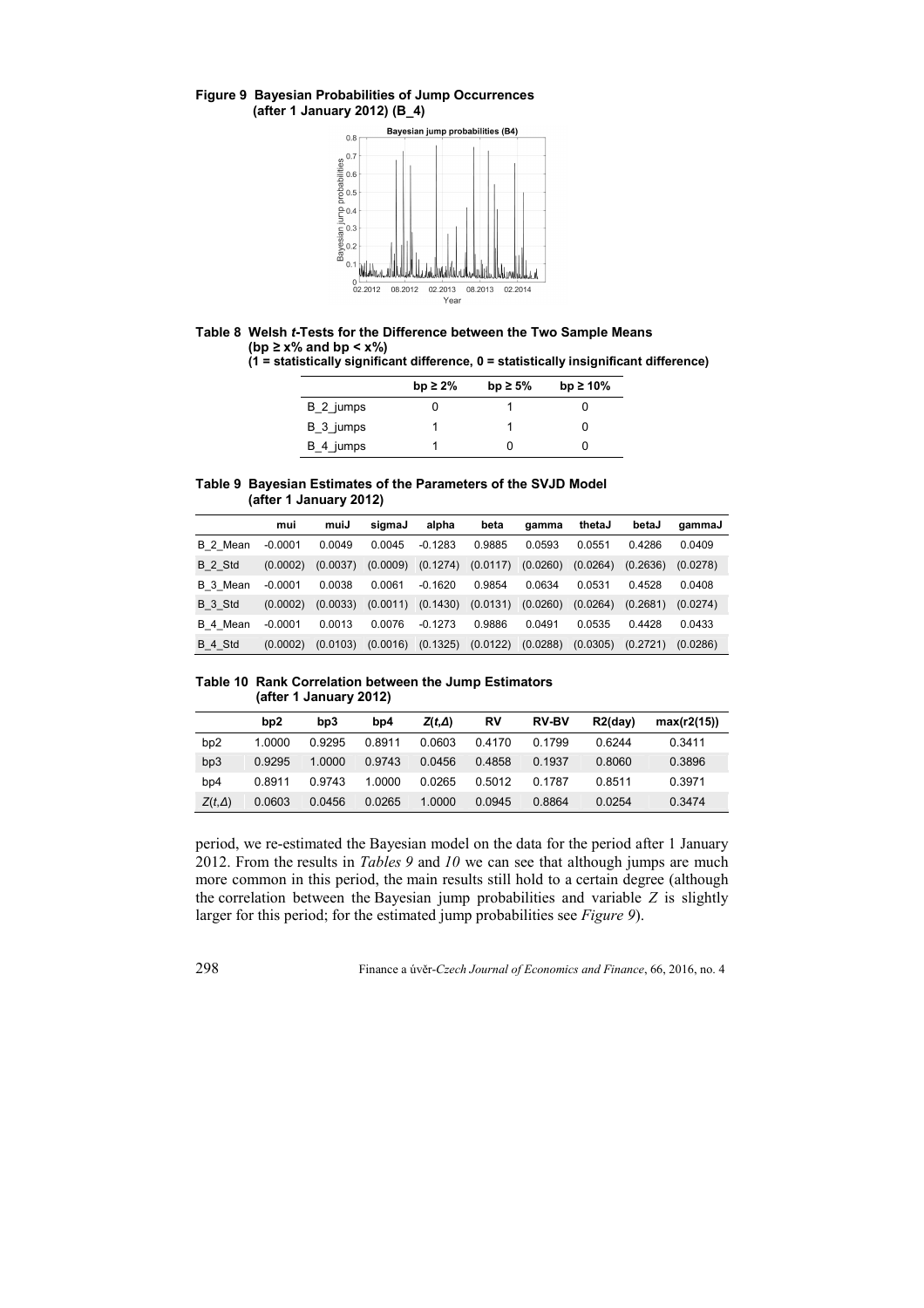## **Figure 9 Bayesian Probabilities of Jump Occurrences (after 1 January 2012) (B\_4)**



# **Table 8 Welsh** *t***-Tests for the Difference between the Two Sample Means (bp** *≥* **x% and bp < x%)**

**(1 = statistically significant difference, 0 = statistically insignificant difference)**

|           | bp $\geq 2\%$ | bp $\geq 5\%$ | bp $\geq 10\%$ |
|-----------|---------------|---------------|----------------|
| B 2 jumps |               |               |                |
| B 3 jumps |               |               |                |
| B 4 jumps |               |               |                |

### **Table 9 Bayesian Estimates of the Parameters of the SVJD Model (after 1 January 2012)**

|          | mui       | muiJ     | sigmaJ   | alpha     | beta     | gamma    | thetaJ   | betaJ    | gammaJ   |
|----------|-----------|----------|----------|-----------|----------|----------|----------|----------|----------|
| B 2 Mean | $-0.0001$ | 0.0049   | 0.0045   | $-0.1283$ | 0.9885   | 0.0593   | 0.0551   | 0.4286   | 0.0409   |
| B 2 Std  | (0.0002)  | (0.0037) | (0.0009) | (0.1274)  | (0.0117) | (0.0260) | (0.0264) | (0.2636) | (0.0278) |
| B 3 Mean | $-0.0001$ | 0.0038   | 0.0061   | $-0.1620$ | 0.9854   | 0.0634   | 0.0531   | 0.4528   | 0.0408   |
| B 3 Std  | (0.0002)  | (0.0033) | (0.0011) | (0.1430)  | (0.0131) | (0.0260) | (0.0264) | (0.2681) | (0.0274) |
| B 4 Mean | $-0.0001$ | 0.0013   | 0.0076   | $-0.1273$ | 0.9886   | 0.0491   | 0.0535   | 0.4428   | 0.0433   |
| B 4 Std  | (0.0002)  | (0.0103) | (0.0016) | (0.1325)  | (0.0122) | (0.0288) | (0.0305) | (0.2721) | (0.0286) |

## **Table 10 Rank Correlation between the Jump Estimators (after 1 January 2012)**

|               | b <sub>p</sub> 2 | bp3    | bp4    | $Z(t,\Delta)$ | R٧     | <b>RV-BV</b> | $R2$ (day) | max(r2(15)) |
|---------------|------------------|--------|--------|---------------|--------|--------------|------------|-------------|
| bp2           | 1.0000           | 0.9295 | 0.8911 | 0.0603        | 0.4170 | 0.1799       | 0.6244     | 0.3411      |
| bp3           | 0.9295           | 1.0000 | 0.9743 | 0.0456        | 0.4858 | 0.1937       | 0.8060     | 0.3896      |
| bp4           | 0.8911           | 0.9743 | 1.0000 | 0.0265        | 0.5012 | 0.1787       | 0.8511     | 0.3971      |
| $Z(t,\Delta)$ | 0.0603           | 0.0456 | 0.0265 | 1.0000        | 0.0945 | 0.8864       | 0.0254     | 0.3474      |

period, we re-estimated the Bayesian model on the data for the period after 1 January 2012. From the results in *Tables 9* and *10* we can see that although jumps are much more common in this period, the main results still hold to a certain degree (although the correlation between the Bayesian jump probabilities and variable *Z* is slightly larger for this period; for the estimated jump probabilities see *Figure 9*).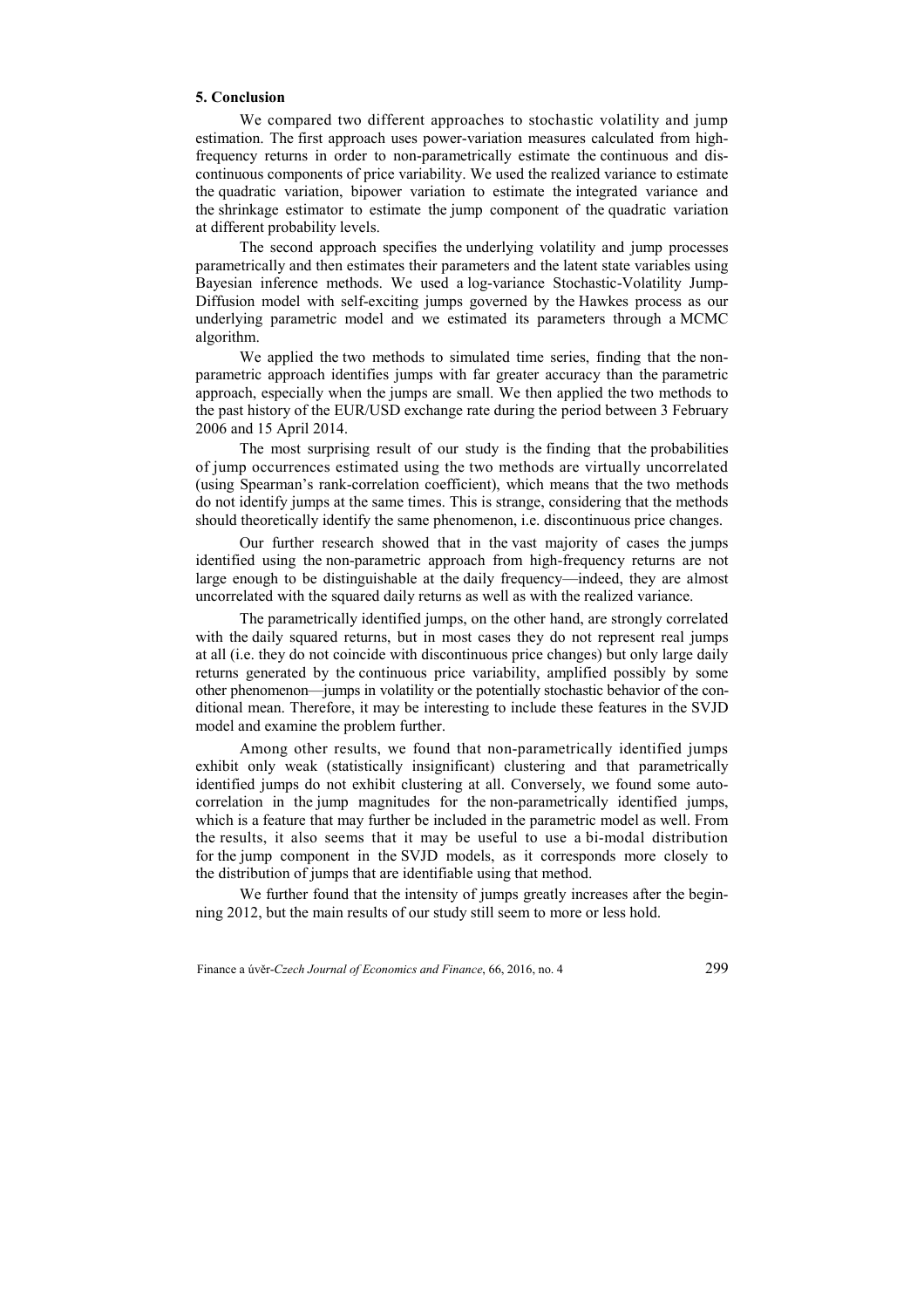# **5. Conclusion**

We compared two different approaches to stochastic volatility and jump estimation. The first approach uses power-variation measures calculated from highfrequency returns in order to non-parametrically estimate the continuous and discontinuous components of price variability. We used the realized variance to estimate the quadratic variation, bipower variation to estimate the integrated variance and the shrinkage estimator to estimate the jump component of the quadratic variation at different probability levels.

The second approach specifies the underlying volatility and jump processes parametrically and then estimates their parameters and the latent state variables using Bayesian inference methods. We used a log-variance Stochastic-Volatility Jump-Diffusion model with self-exciting jumps governed by the Hawkes process as our underlying parametric model and we estimated its parameters through a MCMC algorithm.

We applied the two methods to simulated time series, finding that the nonparametric approach identifies jumps with far greater accuracy than the parametric approach, especially when the jumps are small. We then applied the two methods to the past history of the EUR/USD exchange rate during the period between 3 February 2006 and 15 April 2014.

The most surprising result of our study is the finding that the probabilities of jump occurrences estimated using the two methods are virtually uncorrelated (using Spearman's rank-correlation coefficient), which means that the two methods do not identify jumps at the same times. This is strange, considering that the methods should theoretically identify the same phenomenon, i.e. discontinuous price changes.

Our further research showed that in the vast majority of cases the jumps identified using the non-parametric approach from high-frequency returns are not large enough to be distinguishable at the daily frequency—indeed, they are almost uncorrelated with the squared daily returns as well as with the realized variance.

The parametrically identified jumps, on the other hand, are strongly correlated with the daily squared returns, but in most cases they do not represent real jumps at all (i.e. they do not coincide with discontinuous price changes) but only large daily returns generated by the continuous price variability, amplified possibly by some other phenomenon—jumps in volatility or the potentially stochastic behavior of the conditional mean. Therefore, it may be interesting to include these features in the SVJD model and examine the problem further.

Among other results, we found that non-parametrically identified jumps exhibit only weak (statistically insignificant) clustering and that parametrically identified jumps do not exhibit clustering at all. Conversely, we found some autocorrelation in the jump magnitudes for the non-parametrically identified jumps, which is a feature that may further be included in the parametric model as well. From the results, it also seems that it may be useful to use a bi-modal distribution for the jump component in the SVJD models, as it corresponds more closely to the distribution of jumps that are identifiable using that method.

We further found that the intensity of jumps greatly increases after the beginning 2012, but the main results of our study still seem to more or less hold.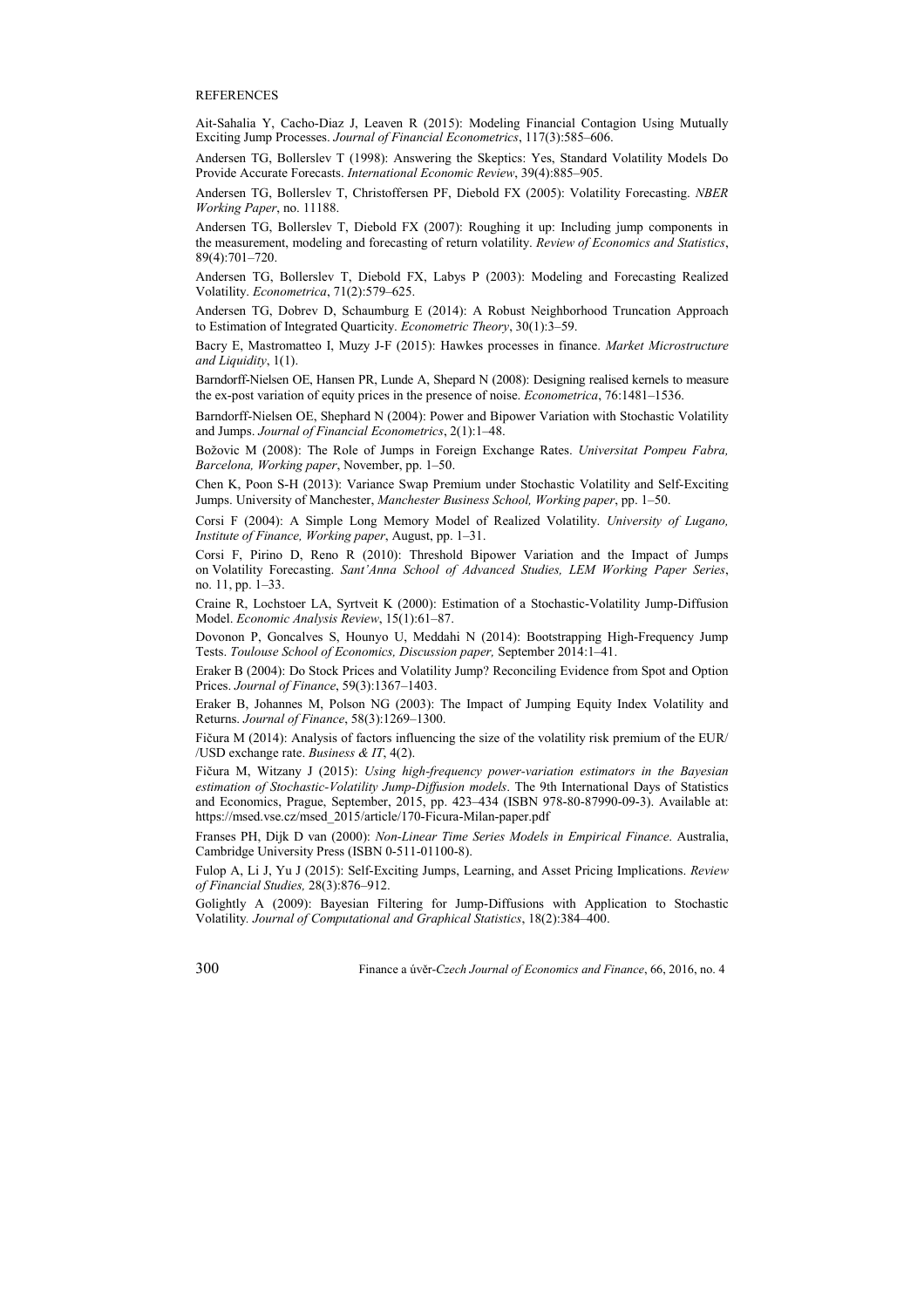#### **REFERENCES**

Ait-Sahalia Y, Cacho-Diaz J, Leaven R (2015): Modeling Financial Contagion Using Mutually Exciting Jump Processes. *Journal of Financial Econometrics*, 117(3):585–606.

Andersen TG, Bollerslev T (1998): Answering the Skeptics: Yes, Standard Volatility Models Do Provide Accurate Forecasts. *International Economic Review*, 39(4):885–905.

Andersen TG, Bollerslev T, Christoffersen PF, Diebold FX (2005): Volatility Forecasting. *NBER Working Paper*, no. 11188.

Andersen TG, Bollerslev T, Diebold FX (2007): Roughing it up: Including jump components in the measurement, modeling and forecasting of return volatility. *Review of Economics and Statistics*, 89(4):701–720.

Andersen TG, Bollerslev T, Diebold FX, Labys P (2003): Modeling and Forecasting Realized Volatility. *Econometrica*, 71(2):579–625.

Andersen TG, Dobrev D, Schaumburg E (2014): A Robust Neighborhood Truncation Approach to Estimation of Integrated Quarticity. *Econometric Theory*, 30(1):3–59.

Bacry E, Mastromatteo I, Muzy J-F (2015): Hawkes processes in finance. *Market Microstructure and Liquidity*, 1(1).

Barndorff-Nielsen OE, Hansen PR, Lunde A, Shepard N (2008): Designing realised kernels to measure the ex-post variation of equity prices in the presence of noise. *Econometrica*, 76:1481–1536.

Barndorff-Nielsen OE, Shephard N (2004): Power and Bipower Variation with Stochastic Volatility and Jumps. *Journal of Financial Econometrics*, 2(1):1–48.

Božovic M (2008): The Role of Jumps in Foreign Exchange Rates. *Universitat Pompeu Fabra, Barcelona, Working paper*, November, pp. 1–50.

Chen K, Poon S-H (2013): Variance Swap Premium under Stochastic Volatility and Self-Exciting Jumps. University of Manchester, *Manchester Business School, Working paper*, pp. 1–50.

Corsi F (2004): A Simple Long Memory Model of Realized Volatility. *University of Lugano, Institute of Finance, Working paper*, August, pp. 1–31.

Corsi F, Pirino D, Reno R (2010): Threshold Bipower Variation and the Impact of Jumps on Volatility Forecasting. *Sant'Anna School of Advanced Studies, LEM Working Paper Series*, no. 11, pp. 1–33.

Craine R, Lochstoer LA, Syrtveit K (2000): Estimation of a Stochastic-Volatility Jump-Diffusion Model. *Economic Analysis Review*, 15(1):61–87.

Dovonon P, Goncalves S, Hounyo U, Meddahi N (2014): Bootstrapping High-Frequency Jump Tests. *Toulouse School of Economics, Discussion paper,* September 2014:1–41.

Eraker B (2004): Do Stock Prices and Volatility Jump? Reconciling Evidence from Spot and Option Prices. *Journal of Finance*, 59(3):1367–1403.

Eraker B, Johannes M, Polson NG (2003): The Impact of Jumping Equity Index Volatility and Returns. *Journal of Finance*, 58(3):1269–1300.

Fičura M (2014): Analysis of factors influencing the size of the volatility risk premium of the EUR/ /USD exchange rate. *Business & IT*, 4(2).

Fičura M, Witzany J (2015): *Using high-frequency power-variation estimators in the Bayesian estimation of Stochastic-Volatility Jump-Diffusion models*. The 9th International Days of Statistics and Economics, Prague, September, 2015, pp. 423–434 (ISBN 978-80-87990-09-3). Available at: https://msed.vse.cz/msed\_2015/article/170-Ficura-Milan-paper.pdf

Franses PH, Dijk D van (2000): *Non-Linear Time Series Models in Empirical Finance*. Australia, Cambridge University Press (ISBN 0-511-01100-8).

Fulop A, Li J, Yu J (2015): Self-Exciting Jumps, Learning, and Asset Pricing Implications. *Review of Financial Studies,* 28(3):876–912.

Golightly A (2009): Bayesian Filtering for Jump-Diffusions with Application to Stochastic Volatility*. Journal of Computational and Graphical Statistics*, 18(2):384–400.